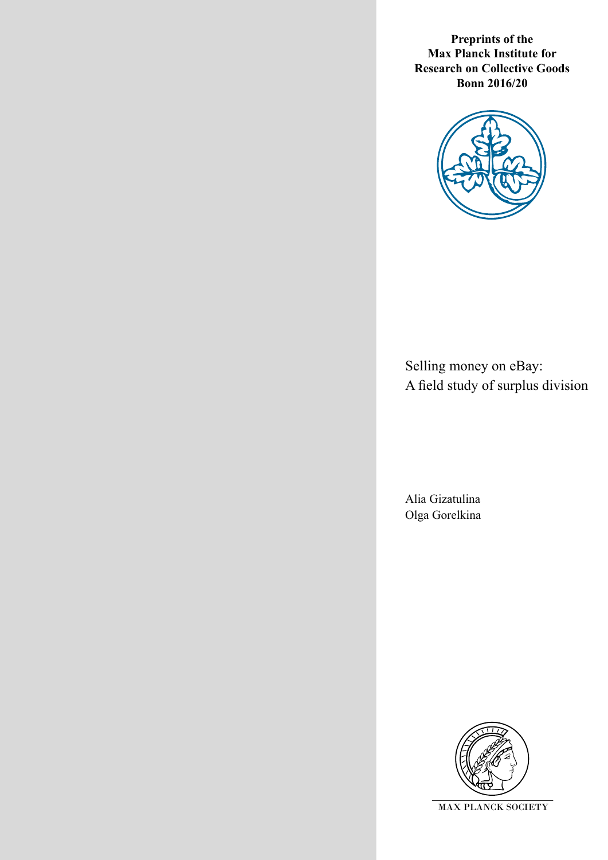**Preprints of the Max Planck Institute for Research on Collective Goods Bonn 2016/20**



Selling money on eBay: A field study of surplus division

Alia Gizatulina Olga Gorelkina

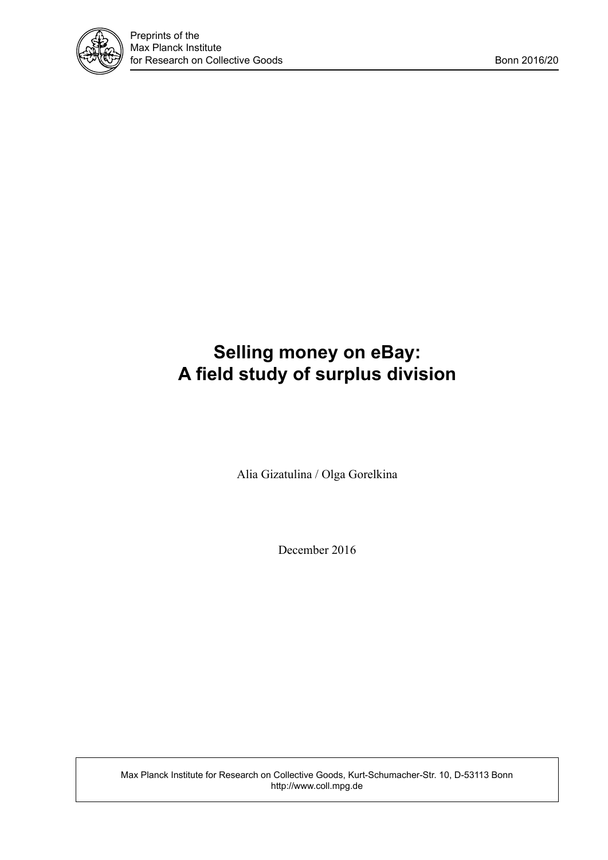

# **Selling money on eBay: A field study of surplus division**

Alia Gizatulina / Olga Gorelkina

December 2016

Max Planck Institute for Research on Collective Goods, Kurt-Schumacher-Str. 10, D-53113 Bonn http://www.coll.mpg.de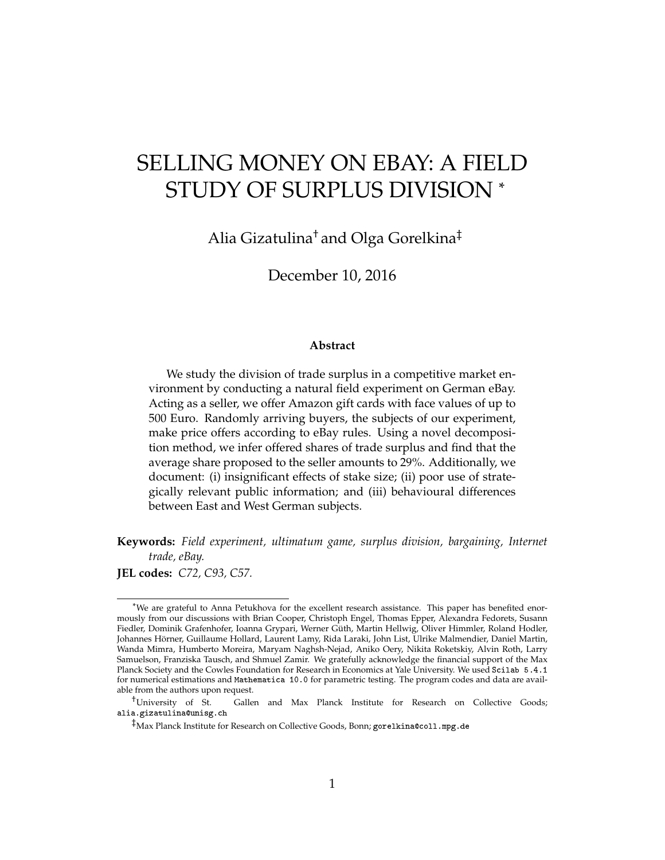# SELLING MONEY ON EBAY: A FIELD STUDY OF SURPLUS DIVISION \*

Alia Gizatulina† and Olga Gorelkina‡

December 10, 2016

#### **Abstract**

We study the division of trade surplus in a competitive market environment by conducting a natural field experiment on German eBay. Acting as a seller, we offer Amazon gift cards with face values of up to 500 Euro. Randomly arriving buyers, the subjects of our experiment, make price offers according to eBay rules. Using a novel decomposition method, we infer offered shares of trade surplus and find that the average share proposed to the seller amounts to 29%. Additionally, we document: (i) insignificant effects of stake size; (ii) poor use of strategically relevant public information; and (iii) behavioural differences between East and West German subjects.

**Keywords:** *Field experiment, ultimatum game, surplus division, bargaining, Internet trade, eBay.*

**JEL codes:** *C72, C93, C57.*

<sup>\*</sup>We are grateful to Anna Petukhova for the excellent research assistance. This paper has benefited enormously from our discussions with Brian Cooper, Christoph Engel, Thomas Epper, Alexandra Fedorets, Susann Fiedler, Dominik Grafenhofer, Ioanna Grypari, Werner Güth, Martin Hellwig, Oliver Himmler, Roland Hodler, Johannes Hörner, Guillaume Hollard, Laurent Lamy, Rida Laraki, John List, Ulrike Malmendier, Daniel Martin, Wanda Mimra, Humberto Moreira, Maryam Naghsh-Nejad, Aniko Oery, Nikita Roketskiy, Alvin Roth, Larry Samuelson, Franziska Tausch, and Shmuel Zamir. We gratefully acknowledge the financial support of the Max Planck Society and the Cowles Foundation for Research in Economics at Yale University. We used Scilab 5.4.1 for numerical estimations and Mathematica 10.0 for parametric testing. The program codes and data are available from the authors upon request.

<sup>†</sup>University of St. Gallen and Max Planck Institute for Research on Collective Goods; alia.gizatulina@unisg.ch

<sup>‡</sup>Max Planck Institute for Research on Collective Goods, Bonn; gorelkina@coll.mpg.de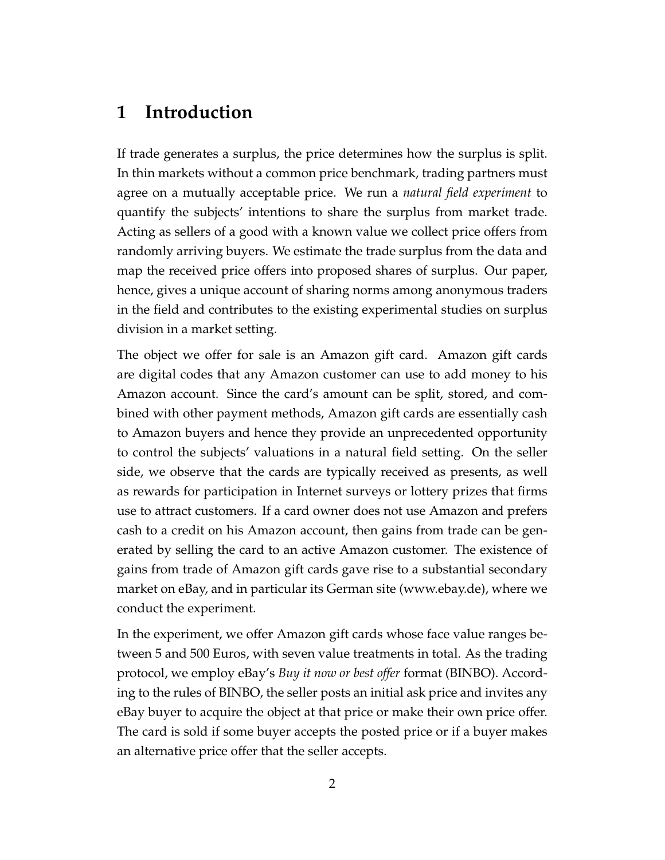### **1 Introduction**

If trade generates a surplus, the price determines how the surplus is split. In thin markets without a common price benchmark, trading partners must agree on a mutually acceptable price. We run a *natural field experiment* to quantify the subjects' intentions to share the surplus from market trade. Acting as sellers of a good with a known value we collect price offers from randomly arriving buyers. We estimate the trade surplus from the data and map the received price offers into proposed shares of surplus. Our paper, hence, gives a unique account of sharing norms among anonymous traders in the field and contributes to the existing experimental studies on surplus division in a market setting.

The object we offer for sale is an Amazon gift card. Amazon gift cards are digital codes that any Amazon customer can use to add money to his Amazon account. Since the card's amount can be split, stored, and combined with other payment methods, Amazon gift cards are essentially cash to Amazon buyers and hence they provide an unprecedented opportunity to control the subjects' valuations in a natural field setting. On the seller side, we observe that the cards are typically received as presents, as well as rewards for participation in Internet surveys or lottery prizes that firms use to attract customers. If a card owner does not use Amazon and prefers cash to a credit on his Amazon account, then gains from trade can be generated by selling the card to an active Amazon customer. The existence of gains from trade of Amazon gift cards gave rise to a substantial secondary market on eBay, and in particular its German site (www.ebay.de), where we conduct the experiment.

In the experiment, we offer Amazon gift cards whose face value ranges between 5 and 500 Euros, with seven value treatments in total. As the trading protocol, we employ eBay's *Buy it now or best offer* format (BINBO). According to the rules of BINBO, the seller posts an initial ask price and invites any eBay buyer to acquire the object at that price or make their own price offer. The card is sold if some buyer accepts the posted price or if a buyer makes an alternative price offer that the seller accepts.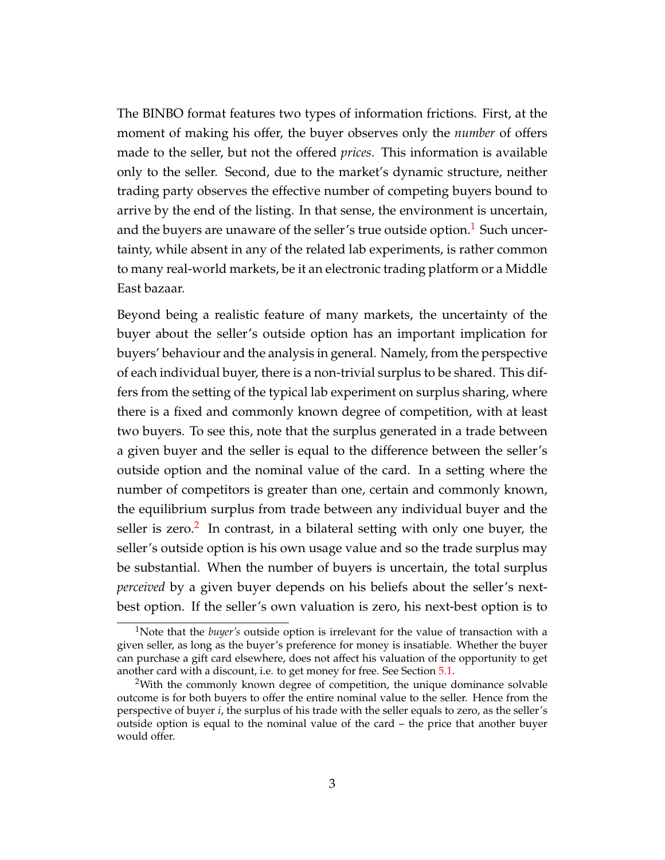The BINBO format features two types of information frictions. First, at the moment of making his offer, the buyer observes only the *number* of offers made to the seller, but not the offered *prices*. This information is available only to the seller. Second, due to the market's dynamic structure, neither trading party observes the effective number of competing buyers bound to arrive by the end of the listing. In that sense, the environment is uncertain, and the buyers are unaware of the seller's true outside option.<sup>[1](#page-4-0)</sup> Such uncertainty, while absent in any of the related lab experiments, is rather common to many real-world markets, be it an electronic trading platform or a Middle East bazaar.

Beyond being a realistic feature of many markets, the uncertainty of the buyer about the seller's outside option has an important implication for buyers' behaviour and the analysis in general. Namely, from the perspective of each individual buyer, there is a non-trivial surplus to be shared. This differs from the setting of the typical lab experiment on surplus sharing, where there is a fixed and commonly known degree of competition, with at least two buyers. To see this, note that the surplus generated in a trade between a given buyer and the seller is equal to the difference between the seller's outside option and the nominal value of the card. In a setting where the number of competitors is greater than one, certain and commonly known, the equilibrium surplus from trade between any individual buyer and the seller is zero.<sup>[2](#page-4-1)</sup> In contrast, in a bilateral setting with only one buyer, the seller's outside option is his own usage value and so the trade surplus may be substantial. When the number of buyers is uncertain, the total surplus *perceived* by a given buyer depends on his beliefs about the seller's nextbest option. If the seller's own valuation is zero, his next-best option is to

<span id="page-4-0"></span><sup>1</sup>Note that the *buyer's* outside option is irrelevant for the value of transaction with a given seller, as long as the buyer's preference for money is insatiable. Whether the buyer can purchase a gift card elsewhere, does not affect his valuation of the opportunity to get another card with a discount, i.e. to get money for free. See Section [5.1.](#page-26-0)

<span id="page-4-1"></span> $2$ With the commonly known degree of competition, the unique dominance solvable outcome is for both buyers to offer the entire nominal value to the seller. Hence from the perspective of buyer *i*, the surplus of his trade with the seller equals to zero, as the seller's outside option is equal to the nominal value of the card – the price that another buyer would offer.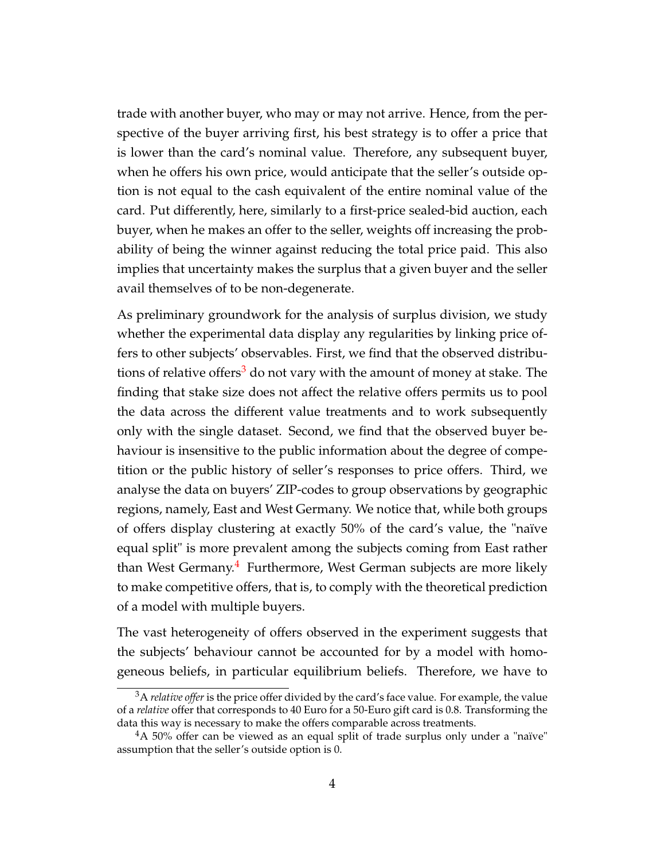trade with another buyer, who may or may not arrive. Hence, from the perspective of the buyer arriving first, his best strategy is to offer a price that is lower than the card's nominal value. Therefore, any subsequent buyer, when he offers his own price, would anticipate that the seller's outside option is not equal to the cash equivalent of the entire nominal value of the card. Put differently, here, similarly to a first-price sealed-bid auction, each buyer, when he makes an offer to the seller, weights off increasing the probability of being the winner against reducing the total price paid. This also implies that uncertainty makes the surplus that a given buyer and the seller avail themselves of to be non-degenerate.

As preliminary groundwork for the analysis of surplus division, we study whether the experimental data display any regularities by linking price offers to other subjects' observables. First, we find that the observed distribu-tions of relative offers<sup>[3](#page-5-0)</sup> do not vary with the amount of money at stake. The finding that stake size does not affect the relative offers permits us to pool the data across the different value treatments and to work subsequently only with the single dataset. Second, we find that the observed buyer behaviour is insensitive to the public information about the degree of competition or the public history of seller's responses to price offers. Third, we analyse the data on buyers' ZIP-codes to group observations by geographic regions, namely, East and West Germany. We notice that, while both groups of offers display clustering at exactly 50% of the card's value, the "naïve equal split" is more prevalent among the subjects coming from East rather than West Germany.<sup>[4](#page-5-1)</sup> Furthermore, West German subjects are more likely to make competitive offers, that is, to comply with the theoretical prediction of a model with multiple buyers.

The vast heterogeneity of offers observed in the experiment suggests that the subjects' behaviour cannot be accounted for by a model with homogeneous beliefs, in particular equilibrium beliefs. Therefore, we have to

<span id="page-5-0"></span><sup>&</sup>lt;sup>3</sup>A *relative offer* is the price offer divided by the card's face value. For example, the value of a *relative* offer that corresponds to 40 Euro for a 50-Euro gift card is 0.8. Transforming the data this way is necessary to make the offers comparable across treatments.

<span id="page-5-1"></span><sup>4</sup>A 50% offer can be viewed as an equal split of trade surplus only under a "naïve" assumption that the seller's outside option is 0.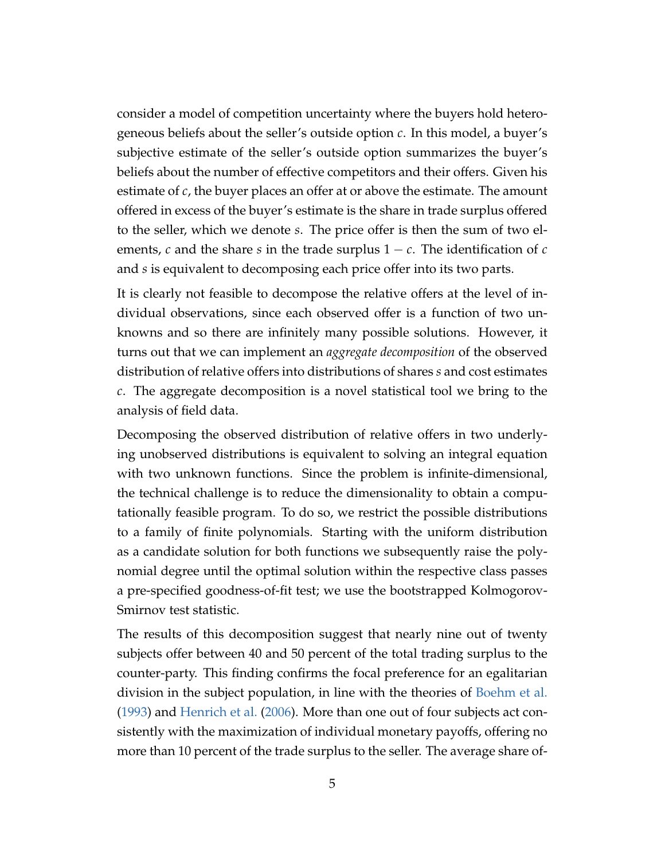consider a model of competition uncertainty where the buyers hold heterogeneous beliefs about the seller's outside option *c*. In this model, a buyer's subjective estimate of the seller's outside option summarizes the buyer's beliefs about the number of effective competitors and their offers. Given his estimate of *c*, the buyer places an offer at or above the estimate. The amount offered in excess of the buyer's estimate is the share in trade surplus offered to the seller, which we denote *s*. The price offer is then the sum of two elements,  $c$  and the share  $s$  in the trade surplus  $1 - c$ . The identification of  $c$ and *s* is equivalent to decomposing each price offer into its two parts.

It is clearly not feasible to decompose the relative offers at the level of individual observations, since each observed offer is a function of two unknowns and so there are infinitely many possible solutions. However, it turns out that we can implement an *aggregate decomposition* of the observed distribution of relative offers into distributions of shares *s* and cost estimates *c*. The aggregate decomposition is a novel statistical tool we bring to the analysis of field data.

Decomposing the observed distribution of relative offers in two underlying unobserved distributions is equivalent to solving an integral equation with two unknown functions. Since the problem is infinite-dimensional, the technical challenge is to reduce the dimensionality to obtain a computationally feasible program. To do so, we restrict the possible distributions to a family of finite polynomials. Starting with the uniform distribution as a candidate solution for both functions we subsequently raise the polynomial degree until the optimal solution within the respective class passes a pre-specified goodness-of-fit test; we use the bootstrapped Kolmogorov-Smirnov test statistic.

The results of this decomposition suggest that nearly nine out of twenty subjects offer between 40 and 50 percent of the total trading surplus to the counter-party. This finding confirms the focal preference for an egalitarian division in the subject population, in line with the theories of [Boehm et al.](#page-42-0) [\(1993\)](#page-42-0) and [Henrich et al.](#page-44-0) [\(2006\)](#page-44-0). More than one out of four subjects act consistently with the maximization of individual monetary payoffs, offering no more than 10 percent of the trade surplus to the seller. The average share of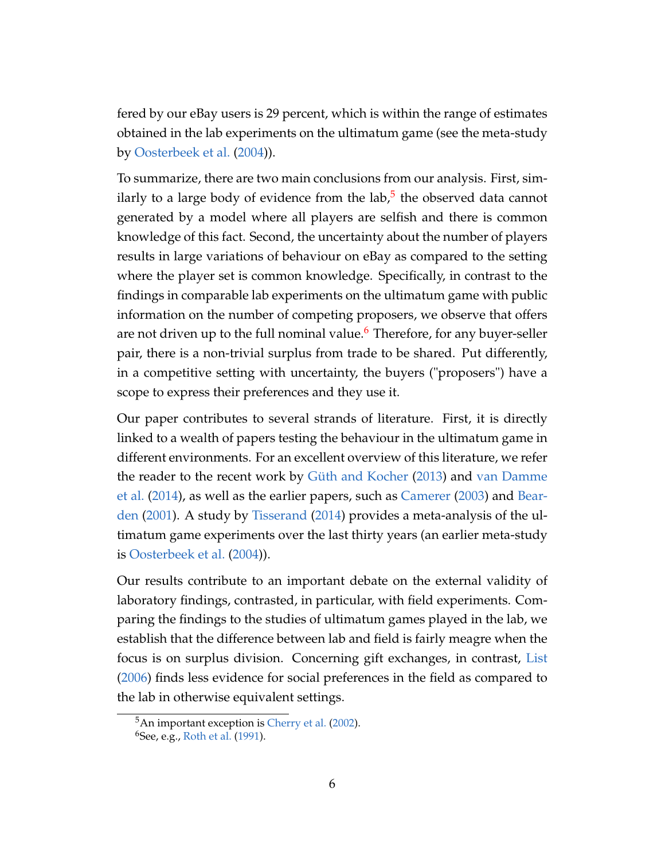fered by our eBay users is 29 percent, which is within the range of estimates obtained in the lab experiments on the ultimatum game (see the meta-study by [Oosterbeek et al.](#page-45-0) [\(2004\)](#page-45-0)).

To summarize, there are two main conclusions from our analysis. First, sim-ilarly to a large body of evidence from the lab,<sup>[5](#page-7-0)</sup> the observed data cannot generated by a model where all players are selfish and there is common knowledge of this fact. Second, the uncertainty about the number of players results in large variations of behaviour on eBay as compared to the setting where the player set is common knowledge. Specifically, in contrast to the findings in comparable lab experiments on the ultimatum game with public information on the number of competing proposers, we observe that offers are not driven up to the full nominal value.<sup>[6](#page-7-1)</sup> Therefore, for any buyer-seller pair, there is a non-trivial surplus from trade to be shared. Put differently, in a competitive setting with uncertainty, the buyers ("proposers") have a scope to express their preferences and they use it.

Our paper contributes to several strands of literature. First, it is directly linked to a wealth of papers testing the behaviour in the ultimatum game in different environments. For an excellent overview of this literature, we refer the reader to the recent work by [Güth and Kocher](#page-44-1) [\(2013\)](#page-44-1) and [van Damme](#page-46-0) [et al.](#page-46-0) [\(2014\)](#page-46-0), as well as the earlier papers, such as [Camerer](#page-42-1) [\(2003\)](#page-42-1) and [Bear](#page-42-2)[den](#page-42-2) [\(2001\)](#page-42-2). A study by [Tisserand](#page-46-1) [\(2014\)](#page-46-1) provides a meta-analysis of the ultimatum game experiments over the last thirty years (an earlier meta-study is [Oosterbeek et al.](#page-45-0) [\(2004\)](#page-45-0)).

Our results contribute to an important debate on the external validity of laboratory findings, contrasted, in particular, with field experiments. Comparing the findings to the studies of ultimatum games played in the lab, we establish that the difference between lab and field is fairly meagre when the focus is on surplus division. Concerning gift exchanges, in contrast, [List](#page-44-2) [\(2006\)](#page-44-2) finds less evidence for social preferences in the field as compared to the lab in otherwise equivalent settings.

<span id="page-7-0"></span><sup>5</sup>An important exception is [Cherry et al.](#page-43-0) [\(2002\)](#page-43-0).

<span id="page-7-1"></span> $6$ See, e.g., [Roth et al.](#page-45-1) [\(1991\)](#page-45-1).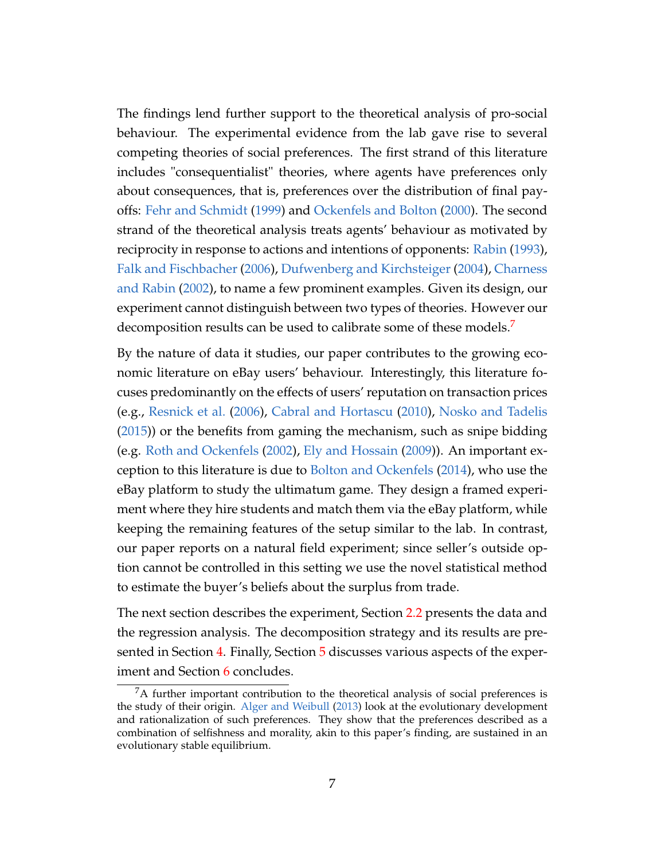The findings lend further support to the theoretical analysis of pro-social behaviour. The experimental evidence from the lab gave rise to several competing theories of social preferences. The first strand of this literature includes "consequentialist" theories, where agents have preferences only about consequences, that is, preferences over the distribution of final payoffs: [Fehr and Schmidt](#page-43-1) [\(1999\)](#page-43-1) and [Ockenfels and Bolton](#page-45-2) [\(2000\)](#page-45-2). The second strand of the theoretical analysis treats agents' behaviour as motivated by reciprocity in response to actions and intentions of opponents: [Rabin](#page-45-3) [\(1993\)](#page-45-3), [Falk and Fischbacher](#page-43-2) [\(2006\)](#page-43-2), [Dufwenberg and Kirchsteiger](#page-43-3) [\(2004\)](#page-43-3), [Charness](#page-43-4) [and Rabin](#page-43-4) [\(2002\)](#page-43-4), to name a few prominent examples. Given its design, our experiment cannot distinguish between two types of theories. However our decomposition results can be used to calibrate some of these models.<sup>[7](#page-8-0)</sup>

By the nature of data it studies, our paper contributes to the growing economic literature on eBay users' behaviour. Interestingly, this literature focuses predominantly on the effects of users' reputation on transaction prices (e.g., [Resnick et al.](#page-45-4) [\(2006\)](#page-45-4), [Cabral and Hortascu](#page-42-3) [\(2010\)](#page-42-3), [Nosko and Tadelis](#page-45-5) [\(2015\)](#page-45-5)) or the benefits from gaming the mechanism, such as snipe bidding (e.g. [Roth and Ockenfels](#page-46-2) [\(2002\)](#page-46-2), [Ely and Hossain](#page-43-5) [\(2009\)](#page-43-5)). An important exception to this literature is due to [Bolton and Ockenfels](#page-42-4) [\(2014\)](#page-42-4), who use the eBay platform to study the ultimatum game. They design a framed experiment where they hire students and match them via the eBay platform, while keeping the remaining features of the setup similar to the lab. In contrast, our paper reports on a natural field experiment; since seller's outside option cannot be controlled in this setting we use the novel statistical method to estimate the buyer's beliefs about the surplus from trade.

The next section describes the experiment, Section [2.2](#page-12-0) presents the data and the regression analysis. The decomposition strategy and its results are pre-sented in Section [4.](#page-18-0) Finally, Section [5](#page-26-1) discusses various aspects of the exper-iment and Section [6](#page-28-0) concludes.

<span id="page-8-0"></span> $7A$  further important contribution to the theoretical analysis of social preferences is the study of their origin. [Alger and Weibull](#page-42-5) [\(2013\)](#page-42-5) look at the evolutionary development and rationalization of such preferences. They show that the preferences described as a combination of selfishness and morality, akin to this paper's finding, are sustained in an evolutionary stable equilibrium.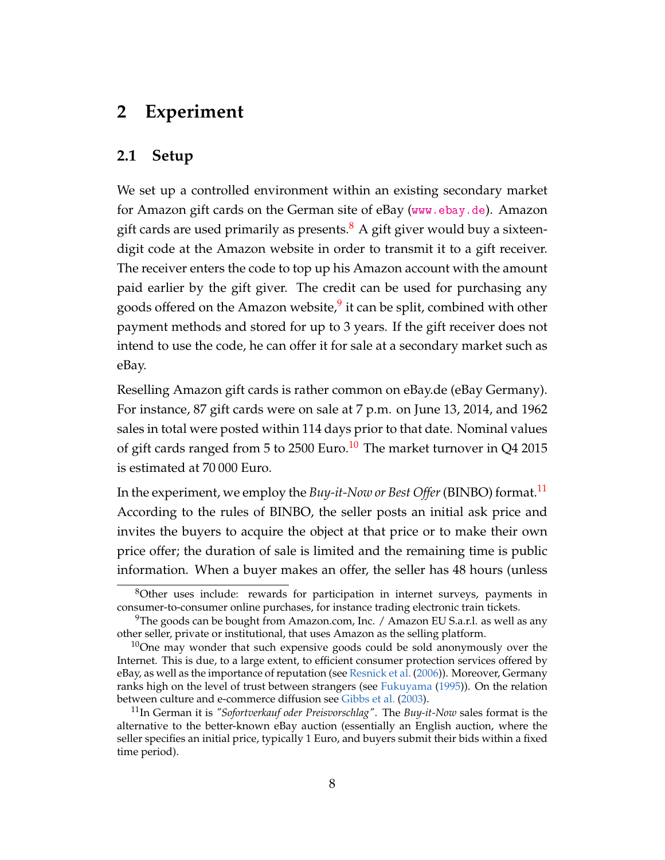### **2 Experiment**

#### **2.1 Setup**

We set up a controlled environment within an existing secondary market for Amazon gift cards on the German site of eBay (<www.ebay.de>). Amazon gift cards are used primarily as presents. $\frac{8}{3}$  $\frac{8}{3}$  $\frac{8}{3}$  A gift giver would buy a sixteendigit code at the Amazon website in order to transmit it to a gift receiver. The receiver enters the code to top up his Amazon account with the amount paid earlier by the gift giver. The credit can be used for purchasing any goods offered on the Amazon website,<sup>[9](#page-9-1)</sup> it can be split, combined with other payment methods and stored for up to 3 years. If the gift receiver does not intend to use the code, he can offer it for sale at a secondary market such as eBay.

Reselling Amazon gift cards is rather common on eBay.de (eBay Germany). For instance, 87 gift cards were on sale at 7 p.m. on June 13, 2014, and 1962 sales in total were posted within 114 days prior to that date. Nominal values of gift cards ranged from 5 to 2500 Euro.<sup>[10](#page-9-2)</sup> The market turnover in Q4 2015 is estimated at 70 000 Euro.

In the experiment, we employ the *Buy-it-Now or Best Offer*(BINBO) format.[11](#page-9-3) According to the rules of BINBO, the seller posts an initial ask price and invites the buyers to acquire the object at that price or to make their own price offer; the duration of sale is limited and the remaining time is public information. When a buyer makes an offer, the seller has 48 hours (unless

<span id="page-9-0"></span><sup>8</sup>Other uses include: rewards for participation in internet surveys, payments in consumer-to-consumer online purchases, for instance trading electronic train tickets.

<span id="page-9-1"></span><sup>&</sup>lt;sup>9</sup>The goods can be bought from Amazon.com, Inc. / Amazon EU S.a.r.l. as well as any other seller, private or institutional, that uses Amazon as the selling platform.

<span id="page-9-2"></span> $10$ One may wonder that such expensive goods could be sold anonymously over the Internet. This is due, to a large extent, to efficient consumer protection services offered by eBay, as well as the importance of reputation (see [Resnick et al.](#page-45-4) [\(2006\)](#page-45-4)). Moreover, Germany ranks high on the level of trust between strangers (see [Fukuyama](#page-43-6) [\(1995\)](#page-43-6)). On the relation between culture and e-commerce diffusion see [Gibbs et al.](#page-43-7) [\(2003\)](#page-43-7).

<span id="page-9-3"></span><sup>11</sup>In German it is *"Sofortverkauf oder Preisvorschlag"*. The *Buy-it-Now* sales format is the alternative to the better-known eBay auction (essentially an English auction, where the seller specifies an initial price, typically 1 Euro, and buyers submit their bids within a fixed time period).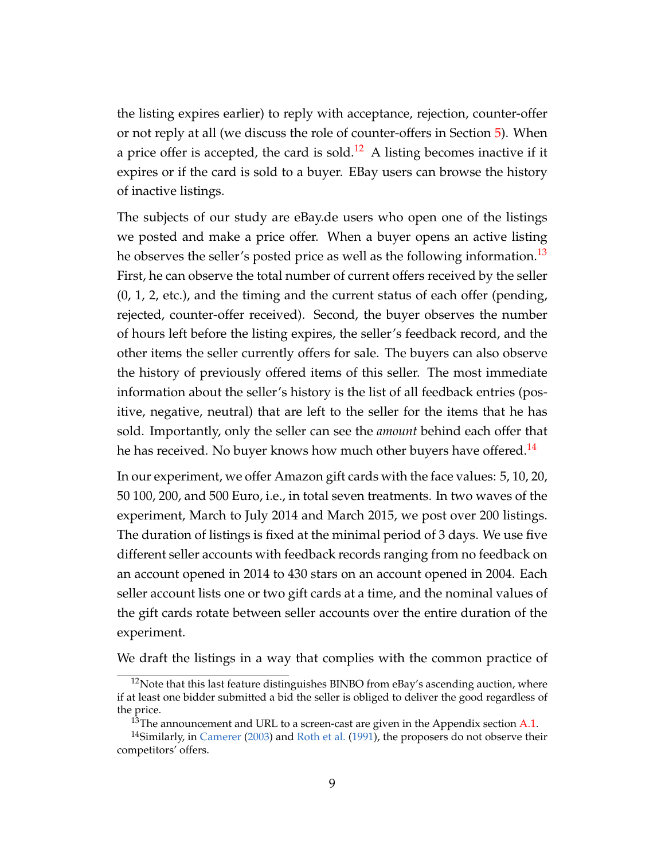the listing expires earlier) to reply with acceptance, rejection, counter-offer or not reply at all (we discuss the role of counter-offers in Section [5\)](#page-26-1). When a price offer is accepted, the card is sold.<sup>[12](#page-10-0)</sup> A listing becomes inactive if it expires or if the card is sold to a buyer. EBay users can browse the history of inactive listings.

The subjects of our study are eBay.de users who open one of the listings we posted and make a price offer. When a buyer opens an active listing he observes the seller's posted price as well as the following information.<sup>[13](#page-10-1)</sup> First, he can observe the total number of current offers received by the seller (0, 1, 2, etc.), and the timing and the current status of each offer (pending, rejected, counter-offer received). Second, the buyer observes the number of hours left before the listing expires, the seller's feedback record, and the other items the seller currently offers for sale. The buyers can also observe the history of previously offered items of this seller. The most immediate information about the seller's history is the list of all feedback entries (positive, negative, neutral) that are left to the seller for the items that he has sold. Importantly, only the seller can see the *amount* behind each offer that he has received. No buyer knows how much other buyers have offered.<sup>[14](#page-10-2)</sup>

In our experiment, we offer Amazon gift cards with the face values: 5, 10, 20, 50 100, 200, and 500 Euro, i.e., in total seven treatments. In two waves of the experiment, March to July 2014 and March 2015, we post over 200 listings. The duration of listings is fixed at the minimal period of 3 days. We use five different seller accounts with feedback records ranging from no feedback on an account opened in 2014 to 430 stars on an account opened in 2004. Each seller account lists one or two gift cards at a time, and the nominal values of the gift cards rotate between seller accounts over the entire duration of the experiment.

We draft the listings in a way that complies with the common practice of

<span id="page-10-0"></span> $12$ Note that this last feature distinguishes BINBO from eBay's ascending auction, where if at least one bidder submitted a bid the seller is obliged to deliver the good regardless of the price.

<span id="page-10-2"></span><span id="page-10-1"></span> $13$ The announcement and URL to a screen-cast are given in the Appendix section [A.1.](#page-31-0)

<sup>&</sup>lt;sup>14</sup>Similarly, in [Camerer](#page-42-1) [\(2003\)](#page-42-1) and [Roth et al.](#page-45-1) [\(1991\)](#page-45-1), the proposers do not observe their competitors' offers.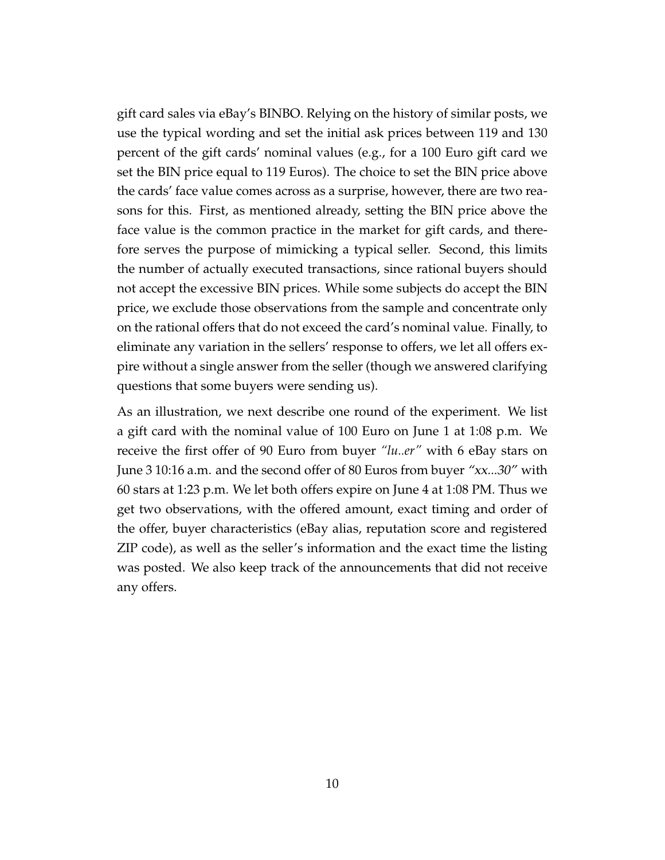gift card sales via eBay's BINBO. Relying on the history of similar posts, we use the typical wording and set the initial ask prices between 119 and 130 percent of the gift cards' nominal values (e.g., for a 100 Euro gift card we set the BIN price equal to 119 Euros). The choice to set the BIN price above the cards' face value comes across as a surprise, however, there are two reasons for this. First, as mentioned already, setting the BIN price above the face value is the common practice in the market for gift cards, and therefore serves the purpose of mimicking a typical seller. Second, this limits the number of actually executed transactions, since rational buyers should not accept the excessive BIN prices. While some subjects do accept the BIN price, we exclude those observations from the sample and concentrate only on the rational offers that do not exceed the card's nominal value. Finally, to eliminate any variation in the sellers' response to offers, we let all offers expire without a single answer from the seller (though we answered clarifying questions that some buyers were sending us).

As an illustration, we next describe one round of the experiment. We list a gift card with the nominal value of 100 Euro on June 1 at 1:08 p.m. We receive the first offer of 90 Euro from buyer *"lu..er"* with 6 eBay stars on June 3 10:16 a.m. and the second offer of 80 Euros from buyer "xx...30" with 60 stars at 1:23 p.m. We let both offers expire on June 4 at 1:08 PM. Thus we get two observations, with the offered amount, exact timing and order of the offer, buyer characteristics (eBay alias, reputation score and registered ZIP code), as well as the seller's information and the exact time the listing was posted. We also keep track of the announcements that did not receive any offers.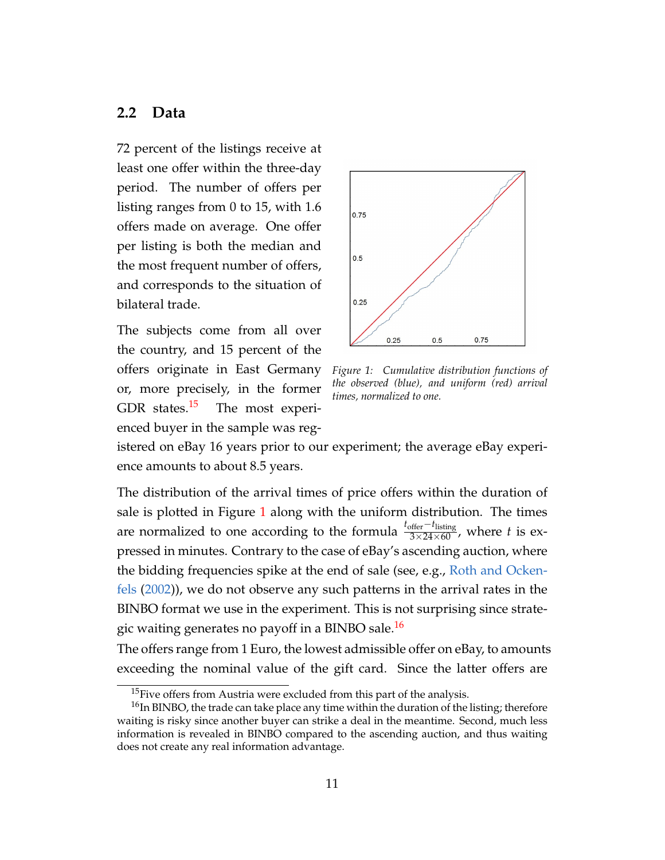#### <span id="page-12-0"></span>**2.2 Data**

72 percent of the listings receive at least one offer within the three-day period. The number of offers per listing ranges from 0 to 15, with 1.6 offers made on average. One offer per listing is both the median and the most frequent number of offers, and corresponds to the situation of bilateral trade.

The subjects come from all over the country, and 15 percent of the offers originate in East Germany or, more precisely, in the former GDR states. $15$  The most experienced buyer in the sample was reg-

<span id="page-12-2"></span>

*Figure 1: Cumulative distribution functions of the observed (blue), and uniform (red) arrival times, normalized to one.*

istered on eBay 16 years prior to our experiment; the average eBay experience amounts to about 8.5 years.

The distribution of the arrival times of price offers within the duration of sale is plotted in Figure [1](#page-12-2) along with the uniform distribution. The times are normalized to one according to the formula  $\frac{t_{\text{offer}} - t_{\text{listing}}}{3 \times 24 \times 60}$ , where *t* is expressed in minutes. Contrary to the case of eBay's ascending auction, where the bidding frequencies spike at the end of sale (see, e.g., [Roth and Ocken](#page-46-2)[fels](#page-46-2) [\(2002\)](#page-46-2)), we do not observe any such patterns in the arrival rates in the BINBO format we use in the experiment. This is not surprising since strate-gic waiting generates no payoff in a BINBO sale.<sup>[16](#page-12-3)</sup>

The offers range from 1 Euro, the lowest admissible offer on eBay, to amounts exceeding the nominal value of the gift card. Since the latter offers are

<span id="page-12-3"></span><span id="page-12-1"></span><sup>&</sup>lt;sup>15</sup>Five offers from Austria were excluded from this part of the analysis.

 $16$ In BINBO, the trade can take place any time within the duration of the listing; therefore waiting is risky since another buyer can strike a deal in the meantime. Second, much less information is revealed in BINBO compared to the ascending auction, and thus waiting does not create any real information advantage.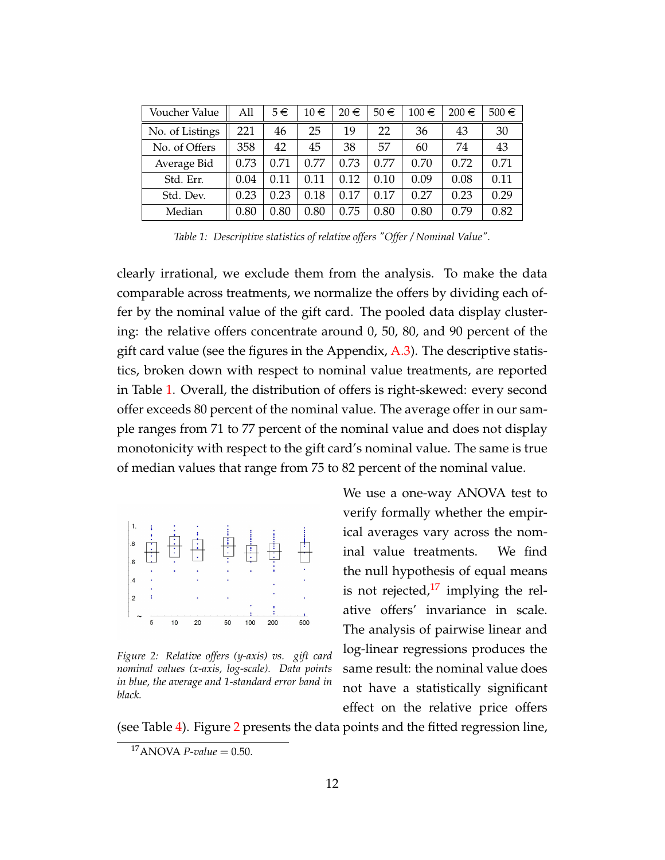<span id="page-13-0"></span>

| Voucher Value   | All  | $5 \in$ | $10 \in$ | $20 \in$ | $50 \in$ | $100 \in$ | $200 \in$ | $500 \in$ |
|-----------------|------|---------|----------|----------|----------|-----------|-----------|-----------|
| No. of Listings | 221  | 46      | 25       | 19       | 22       | 36        | 43        | 30        |
| No. of Offers   | 358  | 42      | 45       | 38       | 57       | 60        | 74        | 43        |
| Average Bid     | 0.73 | 0.71    | 0.77     | 0.73     | 0.77     | 0.70      | 0.72      | 0.71      |
| Std. Err.       | 0.04 | 0.11    | 0.11     | 0.12     | 0.10     | 0.09      | 0.08      | 0.11      |
| Std. Dev.       | 0.23 | 0.23    | 0.18     | 0.17     | 0.17     | 0.27      | 0.23      | 0.29      |
| Median          | 0.80 | 0.80    | 0.80     | 0.75     | 0.80     | 0.80      | 0.79      | 0.82      |

*Table 1: Descriptive statistics of relative offers "Offer / Nominal Value".*

clearly irrational, we exclude them from the analysis. To make the data comparable across treatments, we normalize the offers by dividing each offer by the nominal value of the gift card. The pooled data display clustering: the relative offers concentrate around 0, 50, 80, and 90 percent of the gift card value (see the figures in the Appendix, [A.3\)](#page-38-0). The descriptive statistics, broken down with respect to nominal value treatments, are reported in Table [1.](#page-13-0) Overall, the distribution of offers is right-skewed: every second offer exceeds 80 percent of the nominal value. The average offer in our sample ranges from 71 to 77 percent of the nominal value and does not display monotonicity with respect to the gift card's nominal value. The same is true of median values that range from 75 to 82 percent of the nominal value.

<span id="page-13-2"></span>

*Figure 2: Relative offers (y-axis) vs. gift card nominal values (x-axis, log-scale). Data points in blue, the average and 1-standard error band in black.*

We use a one-way ANOVA test to verify formally whether the empirical averages vary across the nominal value treatments. We find the null hypothesis of equal means is not rejected, $^{17}$  $^{17}$  $^{17}$  implying the relative offers' invariance in scale. The analysis of pairwise linear and log-linear regressions produces the same result: the nominal value does not have a statistically significant effect on the relative price offers

(see Table [4\)](#page-32-0). Figure [2](#page-13-2) presents the data points and the fitted regression line,

<span id="page-13-1"></span> $17$ ANOVA *P-value* = 0.50.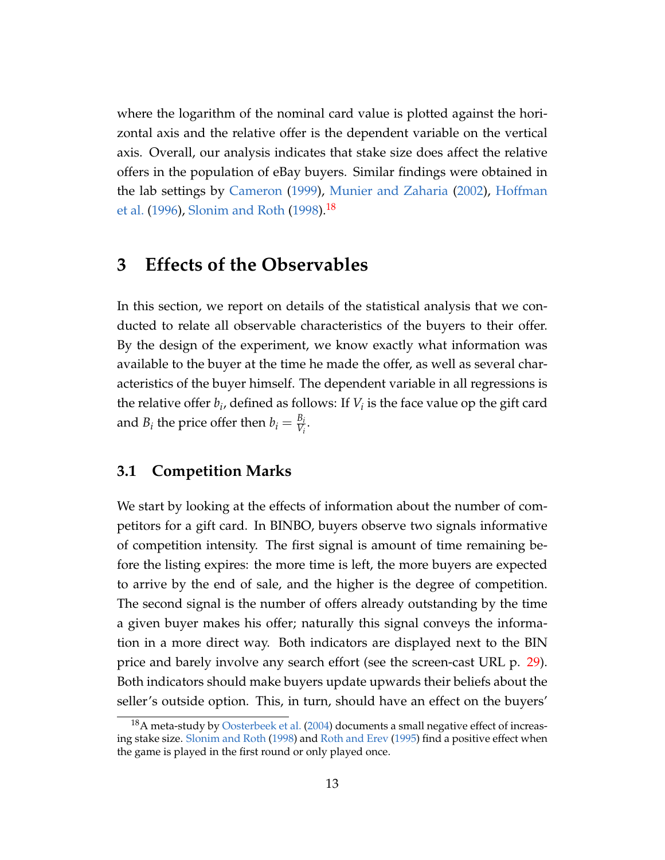where the logarithm of the nominal card value is plotted against the horizontal axis and the relative offer is the dependent variable on the vertical axis. Overall, our analysis indicates that stake size does affect the relative offers in the population of eBay buyers. Similar findings were obtained in the lab settings by [Cameron](#page-42-6) [\(1999\)](#page-42-6), [Munier and Zaharia](#page-45-6) [\(2002\)](#page-45-6), [Hoffman](#page-44-3) [et al.](#page-44-3) [\(1996\)](#page-44-3), [Slonim and Roth](#page-46-3) [\(1998\)](#page-46-3).<sup>[18](#page-14-0)</sup>

### **3 Effects of the Observables**

In this section, we report on details of the statistical analysis that we conducted to relate all observable characteristics of the buyers to their offer. By the design of the experiment, we know exactly what information was available to the buyer at the time he made the offer, as well as several characteristics of the buyer himself. The dependent variable in all regressions is the relative offer  $b_i$ , defined as follows: If  $V_i$  is the face value op the gift card and  $B_i$  the price offer then  $b_i = \frac{B_i}{V_i}$  $\frac{D_i}{V_i}$ .

#### <span id="page-14-1"></span>**3.1 Competition Marks**

We start by looking at the effects of information about the number of competitors for a gift card. In BINBO, buyers observe two signals informative of competition intensity. The first signal is amount of time remaining before the listing expires: the more time is left, the more buyers are expected to arrive by the end of sale, and the higher is the degree of competition. The second signal is the number of offers already outstanding by the time a given buyer makes his offer; naturally this signal conveys the information in a more direct way. Both indicators are displayed next to the BIN price and barely involve any search effort (see the screen-cast URL p. [29\)](#page-31-0). Both indicators should make buyers update upwards their beliefs about the seller's outside option. This, in turn, should have an effect on the buyers'

<span id="page-14-0"></span><sup>&</sup>lt;sup>18</sup>A meta-study by [Oosterbeek et al.](#page-45-0) [\(2004\)](#page-45-0) documents a small negative effect of increasing stake size. [Slonim and Roth](#page-46-3) [\(1998\)](#page-46-3) and [Roth and Erev](#page-45-7) [\(1995\)](#page-45-7) find a positive effect when the game is played in the first round or only played once.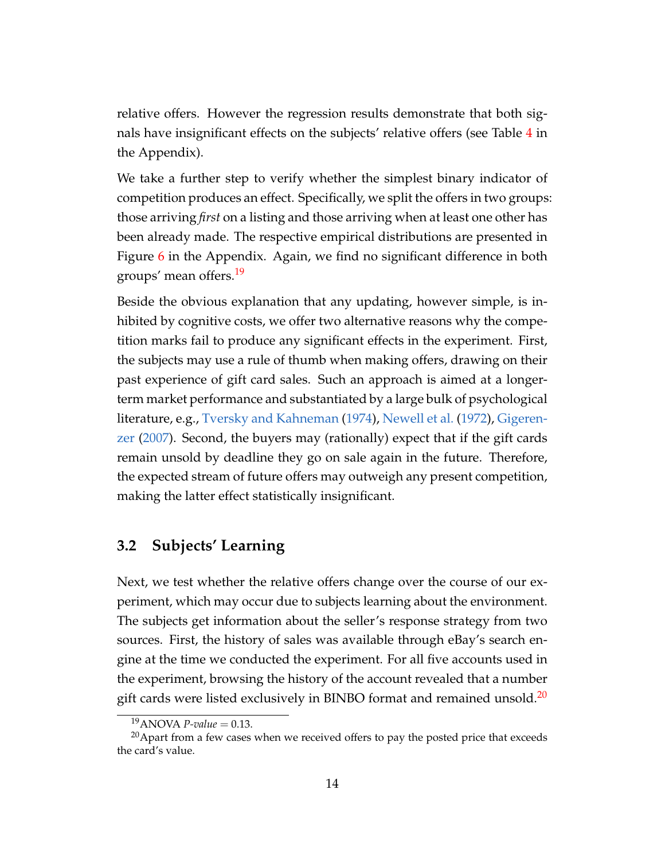relative offers. However the regression results demonstrate that both signals have insignificant effects on the subjects' relative offers (see Table [4](#page-32-0) in the Appendix).

We take a further step to verify whether the simplest binary indicator of competition produces an effect. Specifically, we split the offers in two groups: those arriving *first* on a listing and those arriving when at least one other has been already made. The respective empirical distributions are presented in Figure [6](#page-38-1) in the Appendix. Again, we find no significant difference in both groups' mean offers.<sup>[19](#page-15-0)</sup>

Beside the obvious explanation that any updating, however simple, is inhibited by cognitive costs, we offer two alternative reasons why the competition marks fail to produce any significant effects in the experiment. First, the subjects may use a rule of thumb when making offers, drawing on their past experience of gift card sales. Such an approach is aimed at a longerterm market performance and substantiated by a large bulk of psychological literature, e.g., [Tversky and Kahneman](#page-46-4) [\(1974\)](#page-46-4), [Newell et al.](#page-45-8) [\(1972\)](#page-45-8), [Gigeren](#page-43-8)[zer](#page-43-8) [\(2007\)](#page-43-8). Second, the buyers may (rationally) expect that if the gift cards remain unsold by deadline they go on sale again in the future. Therefore, the expected stream of future offers may outweigh any present competition, making the latter effect statistically insignificant.

### **3.2 Subjects' Learning**

Next, we test whether the relative offers change over the course of our experiment, which may occur due to subjects learning about the environment. The subjects get information about the seller's response strategy from two sources. First, the history of sales was available through eBay's search engine at the time we conducted the experiment. For all five accounts used in the experiment, browsing the history of the account revealed that a number gift cards were listed exclusively in BINBO format and remained unsold.<sup>[20](#page-15-1)</sup>

<span id="page-15-1"></span><span id="page-15-0"></span><sup>&</sup>lt;sup>19</sup>ANOVA *P-value* = 0.13.

 $20$  Apart from a few cases when we received offers to pay the posted price that exceeds the card's value.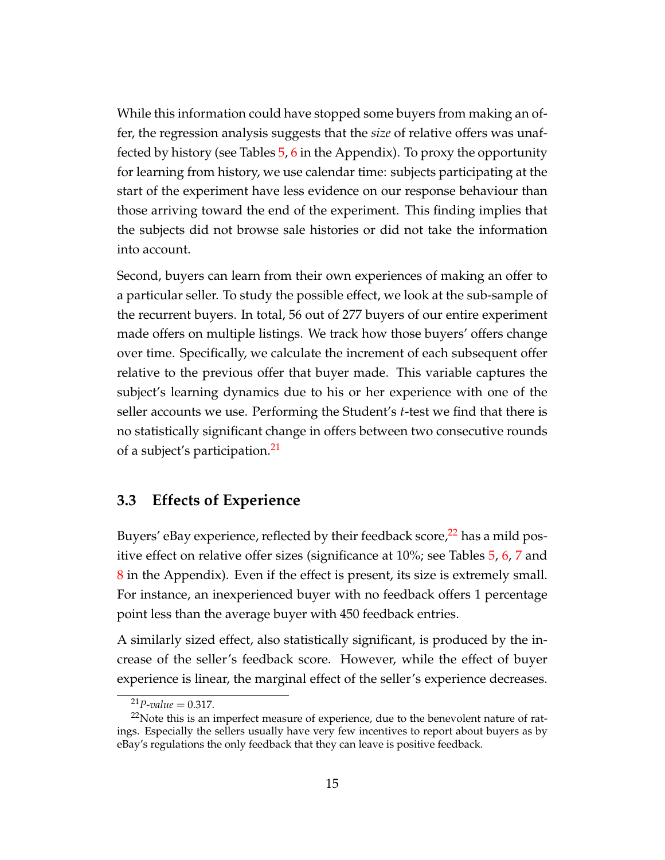While this information could have stopped some buyers from making an offer, the regression analysis suggests that the *size* of relative offers was unaffected by history (see Tables  $5, 6$  $5, 6$  $5, 6$  in the Appendix). To proxy the opportunity for learning from history, we use calendar time: subjects participating at the start of the experiment have less evidence on our response behaviour than those arriving toward the end of the experiment. This finding implies that the subjects did not browse sale histories or did not take the information into account.

Second, buyers can learn from their own experiences of making an offer to a particular seller. To study the possible effect, we look at the sub-sample of the recurrent buyers. In total, 56 out of 277 buyers of our entire experiment made offers on multiple listings. We track how those buyers' offers change over time. Specifically, we calculate the increment of each subsequent offer relative to the previous offer that buyer made. This variable captures the subject's learning dynamics due to his or her experience with one of the seller accounts we use. Performing the Student's *t*-test we find that there is no statistically significant change in offers between two consecutive rounds of a subject's participation.<sup>[21](#page-16-0)</sup>

#### **3.3 Effects of Experience**

Buyers' eBay experience, reflected by their feedback score,<sup>[22](#page-16-1)</sup> has a mild positive effect on relative offer sizes (significance at 10%; see Tables [5,](#page-33-0) [6,](#page-33-1) [7](#page-33-2) and [8](#page-34-0) in the Appendix). Even if the effect is present, its size is extremely small. For instance, an inexperienced buyer with no feedback offers 1 percentage point less than the average buyer with 450 feedback entries.

A similarly sized effect, also statistically significant, is produced by the increase of the seller's feedback score. However, while the effect of buyer experience is linear, the marginal effect of the seller's experience decreases.

<span id="page-16-1"></span><span id="page-16-0"></span> $^{21}P$ -value = 0.317.

 $22$ Note this is an imperfect measure of experience, due to the benevolent nature of ratings. Especially the sellers usually have very few incentives to report about buyers as by eBay's regulations the only feedback that they can leave is positive feedback.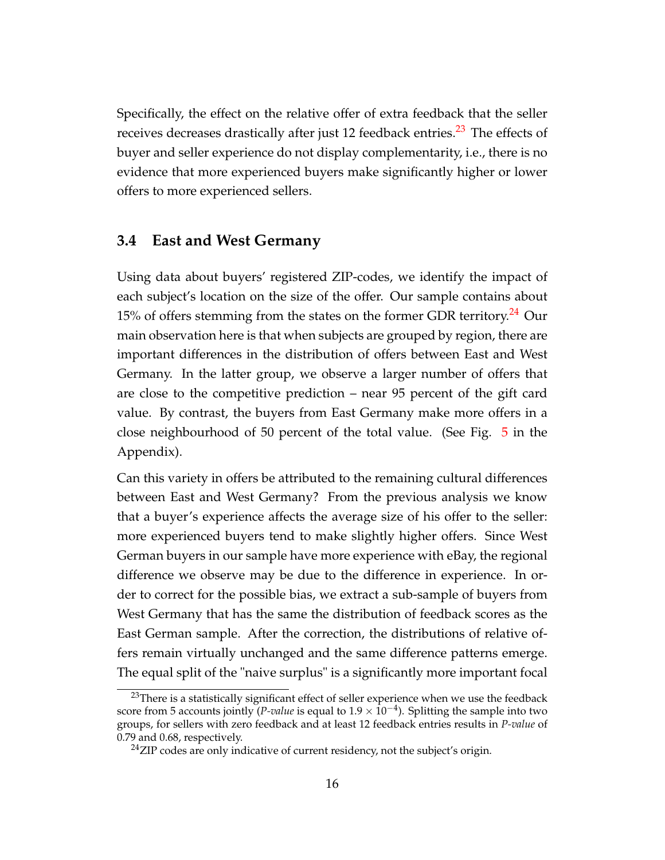Specifically, the effect on the relative offer of extra feedback that the seller receives decreases drastically after just 12 feedback entries.<sup>[23](#page-17-0)</sup> The effects of buyer and seller experience do not display complementarity, i.e., there is no evidence that more experienced buyers make significantly higher or lower offers to more experienced sellers.

#### **3.4 East and West Germany**

Using data about buyers' registered ZIP-codes, we identify the impact of each subject's location on the size of the offer. Our sample contains about 15% of offers stemming from the states on the former GDR territory.<sup>[24](#page-17-1)</sup> Our main observation here is that when subjects are grouped by region, there are important differences in the distribution of offers between East and West Germany. In the latter group, we observe a larger number of offers that are close to the competitive prediction – near 95 percent of the gift card value. By contrast, the buyers from East Germany make more offers in a close neighbourhood of 50 percent of the total value. (See Fig. [5](#page-38-2) in the Appendix).

Can this variety in offers be attributed to the remaining cultural differences between East and West Germany? From the previous analysis we know that a buyer's experience affects the average size of his offer to the seller: more experienced buyers tend to make slightly higher offers. Since West German buyers in our sample have more experience with eBay, the regional difference we observe may be due to the difference in experience. In order to correct for the possible bias, we extract a sub-sample of buyers from West Germany that has the same the distribution of feedback scores as the East German sample. After the correction, the distributions of relative offers remain virtually unchanged and the same difference patterns emerge. The equal split of the "naive surplus" is a significantly more important focal

<span id="page-17-0"></span> $23$ There is a statistically significant effect of seller experience when we use the feedback score from 5 accounts jointly (*P-value* is equal to 1.9 × 10−<sup>4</sup> ). Splitting the sample into two groups, for sellers with zero feedback and at least 12 feedback entries results in *P-value* of 0.79 and 0.68, respectively.

<span id="page-17-1"></span><sup>&</sup>lt;sup>24</sup>ZIP codes are only indicative of current residency, not the subject's origin.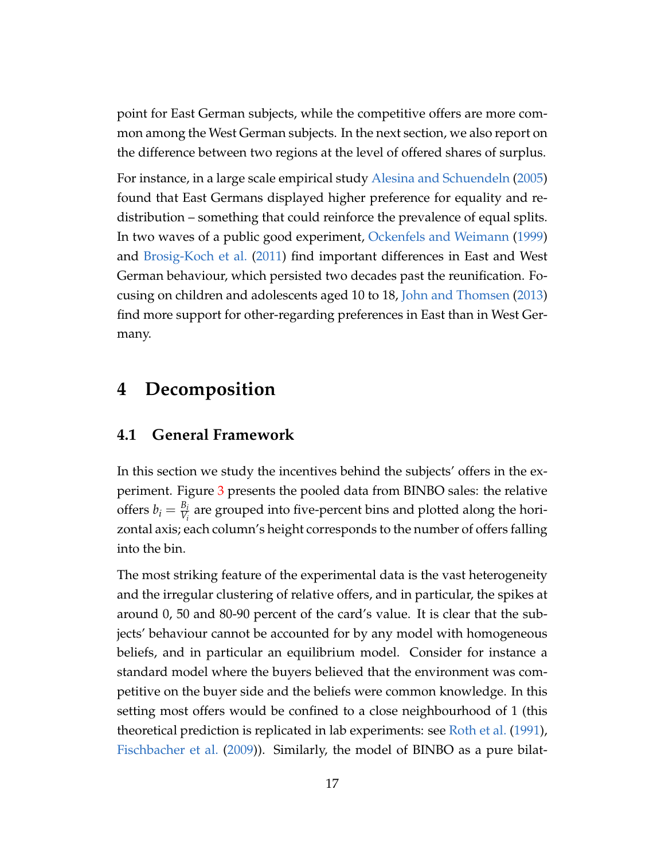point for East German subjects, while the competitive offers are more common among the West German subjects. In the next section, we also report on the difference between two regions at the level of offered shares of surplus.

For instance, in a large scale empirical study [Alesina and Schuendeln](#page-42-7) [\(2005\)](#page-42-7) found that East Germans displayed higher preference for equality and redistribution – something that could reinforce the prevalence of equal splits. In two waves of a public good experiment, [Ockenfels and Weimann](#page-45-9) [\(1999\)](#page-45-9) and [Brosig-Koch et al.](#page-42-8) [\(2011\)](#page-42-8) find important differences in East and West German behaviour, which persisted two decades past the reunification. Focusing on children and adolescents aged 10 to 18, [John and Thomsen](#page-44-4) [\(2013\)](#page-44-4) find more support for other-regarding preferences in East than in West Germany.

### <span id="page-18-0"></span>**4 Decomposition**

#### **4.1 General Framework**

In this section we study the incentives behind the subjects' offers in the experiment. Figure [3](#page-19-0) presents the pooled data from BINBO sales: the relative offers  $b_i = \frac{B_i}{V_i}$  $\frac{v_i}{V_i}$  are grouped into five-percent bins and plotted along the horizontal axis; each column's height corresponds to the number of offers falling into the bin.

The most striking feature of the experimental data is the vast heterogeneity and the irregular clustering of relative offers, and in particular, the spikes at around 0, 50 and 80-90 percent of the card's value. It is clear that the subjects' behaviour cannot be accounted for by any model with homogeneous beliefs, and in particular an equilibrium model. Consider for instance a standard model where the buyers believed that the environment was competitive on the buyer side and the beliefs were common knowledge. In this setting most offers would be confined to a close neighbourhood of 1 (this theoretical prediction is replicated in lab experiments: see [Roth et al.](#page-45-1) [\(1991\)](#page-45-1), [Fischbacher et al.](#page-43-9) [\(2009\)](#page-43-9)). Similarly, the model of BINBO as a pure bilat-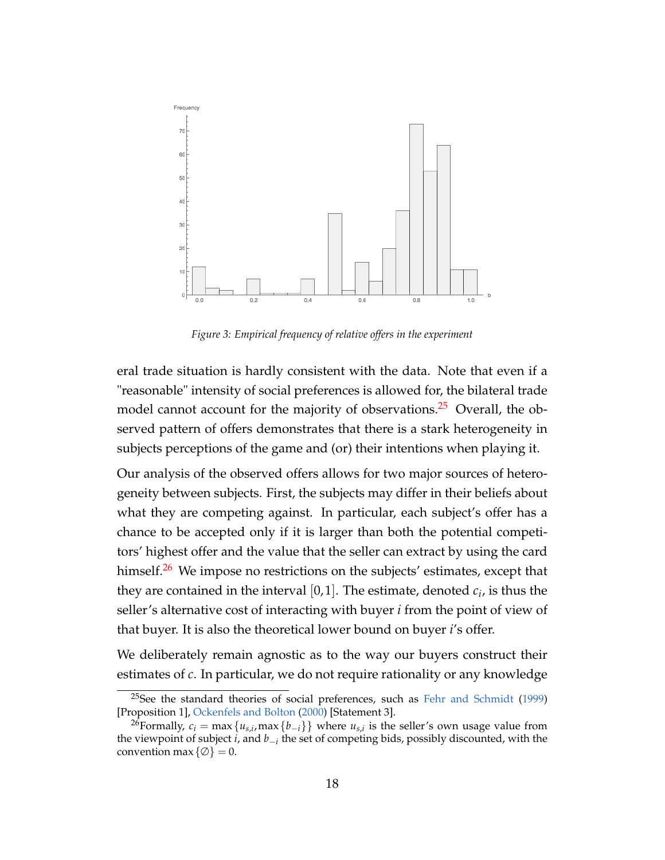<span id="page-19-0"></span>

*Figure 3: Empirical frequency of relative offers in the experiment*

eral trade situation is hardly consistent with the data. Note that even if a "reasonable" intensity of social preferences is allowed for, the bilateral trade model cannot account for the majority of observations.<sup>[25](#page-19-1)</sup> Overall, the observed pattern of offers demonstrates that there is a stark heterogeneity in subjects perceptions of the game and (or) their intentions when playing it.

Our analysis of the observed offers allows for two major sources of heterogeneity between subjects. First, the subjects may differ in their beliefs about what they are competing against. In particular, each subject's offer has a chance to be accepted only if it is larger than both the potential competitors' highest offer and the value that the seller can extract by using the card himself.<sup>[26](#page-19-2)</sup> We impose no restrictions on the subjects' estimates, except that they are contained in the interval  $[0,1]$ . The estimate, denoted  $c_i$ , is thus the seller's alternative cost of interacting with buyer *i* from the point of view of that buyer. It is also the theoretical lower bound on buyer *i*'s offer.

We deliberately remain agnostic as to the way our buyers construct their estimates of *c*. In particular, we do not require rationality or any knowledge

<span id="page-19-1"></span><sup>25</sup>See the standard theories of social preferences, such as [Fehr and Schmidt](#page-43-1) [\(1999\)](#page-43-1) [Proposition 1], [Ockenfels and Bolton](#page-45-2) [\(2000\)](#page-45-2) [Statement 3].

<span id="page-19-2"></span><sup>&</sup>lt;sup>26</sup>Formally,  $c_i = \max\{u_{s,i},\max\{b_{-i}\}\}\$  where  $u_{s,i}$  is the seller's own usage value from the viewpoint of subject *i*, and *b*−*<sup>i</sup>* the set of competing bids, possibly discounted, with the convention max  $\{\emptyset\} = 0$ .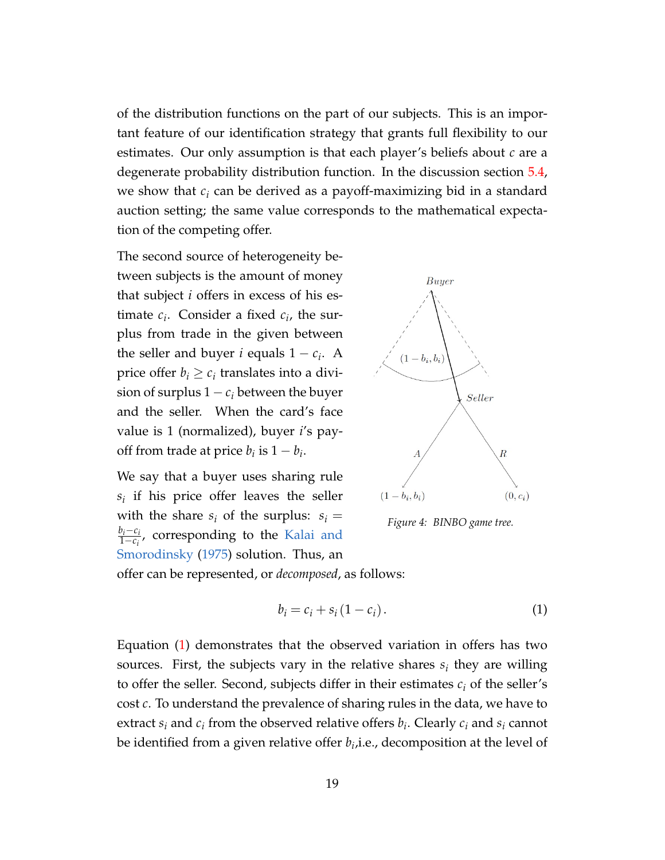of the distribution functions on the part of our subjects. This is an important feature of our identification strategy that grants full flexibility to our estimates. Our only assumption is that each player's beliefs about *c* are a degenerate probability distribution function. In the discussion section [5.4,](#page-27-0) we show that *c<sup>i</sup>* can be derived as a payoff-maximizing bid in a standard auction setting; the same value corresponds to the mathematical expectation of the competing offer.

The second source of heterogeneity between subjects is the amount of money that subject *i* offers in excess of his estimate  $c_i$ . Consider a fixed  $c_i$ , the surplus from trade in the given between the seller and buyer *i* equals  $1 - c_i$ . A price offer  $b_i \geq c_i$  translates into a division of surplus  $1 - c_i$  between the buyer and the seller. When the card's face value is 1 (normalized), buyer *i*'s payoff from trade at price  $b_i$  is  $1 - b_i$ .

We say that a buyer uses sharing rule *si* if his price offer leaves the seller with the share  $s_i$  of the surplus:  $s_i =$ *bi*−*c<sup>i</sup>*  $\frac{p_i - c_i}{1 - c_i}$ , corresponding to the [Kalai and](#page-44-5) [Smorodinsky](#page-44-5) [\(1975\)](#page-44-5) solution. Thus, an



*Figure 4: BINBO game tree.*

offer can be represented, or *decomposed*, as follows:

<span id="page-20-0"></span>
$$
b_i = c_i + s_i \left(1 - c_i\right). \tag{1}
$$

Equation [\(1\)](#page-20-0) demonstrates that the observed variation in offers has two sources. First, the subjects vary in the relative shares  $s_i$  they are willing to offer the seller. Second, subjects differ in their estimates  $c_i$  of the seller's cost *c*. To understand the prevalence of sharing rules in the data, we have to extract  $s_i$  and  $c_i$  from the observed relative offers  $b_i$ . Clearly  $c_i$  and  $s_i$  cannot be identified from a given relative offer  $b_i$ ,i.e., decomposition at the level of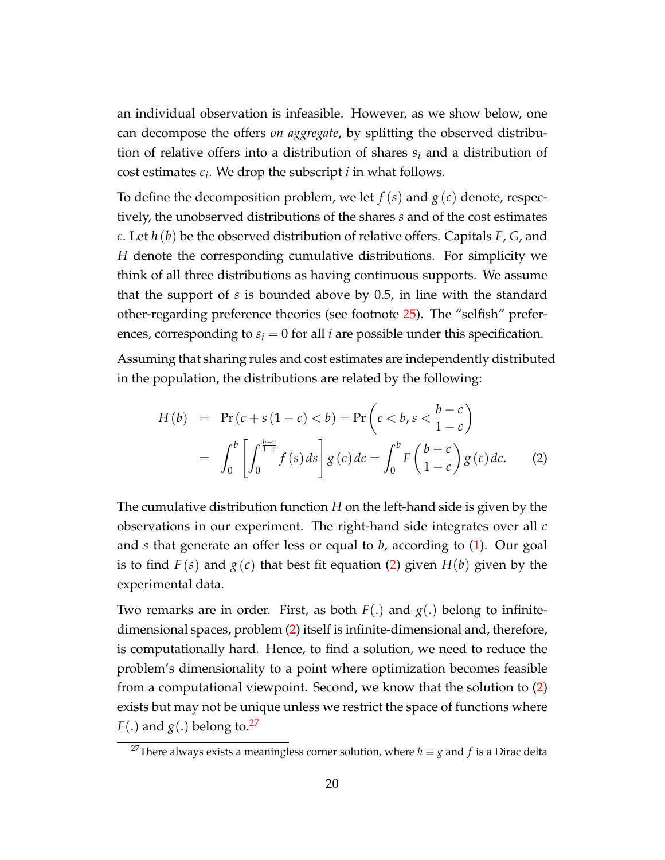an individual observation is infeasible. However, as we show below, one can decompose the offers *on aggregate*, by splitting the observed distribution of relative offers into a distribution of shares *s<sup>i</sup>* and a distribution of cost estimates *c<sup>i</sup>* . We drop the subscript *i* in what follows.

To define the decomposition problem, we let  $f(s)$  and  $g(c)$  denote, respectively, the unobserved distributions of the shares *s* and of the cost estimates *c*. Let *h* (*b*) be the observed distribution of relative offers. Capitals *F*, *G*, and *H* denote the corresponding cumulative distributions. For simplicity we think of all three distributions as having continuous supports. We assume that the support of *s* is bounded above by 0.5, in line with the standard other-regarding preference theories (see footnote [25\)](#page-19-1). The "selfish" preferences, corresponding to  $s_i = 0$  for all *i* are possible under this specification.

Assuming that sharing rules and cost estimates are independently distributed in the population, the distributions are related by the following:

<span id="page-21-0"></span>
$$
H(b) = \Pr(c + s(1 - c) < b) = \Pr\left(c < b, s < \frac{b - c}{1 - c}\right)
$$
  
= 
$$
\int_0^b \left[ \int_0^{\frac{b - c}{1 - c}} f(s) ds \right] g(c) dc = \int_0^b F\left(\frac{b - c}{1 - c}\right) g(c) dc.
$$
 (2)

The cumulative distribution function *H* on the left-hand side is given by the observations in our experiment. The right-hand side integrates over all *c* and *s* that generate an offer less or equal to *b*, according to [\(1\)](#page-20-0). Our goal is to find  $F(s)$  and  $g(c)$  that best fit equation [\(2\)](#page-21-0) given  $H(b)$  given by the experimental data.

Two remarks are in order. First, as both  $F(.)$  and  $g(.)$  belong to infinitedimensional spaces, problem [\(2\)](#page-21-0) itself is infinite-dimensional and, therefore, is computationally hard. Hence, to find a solution, we need to reduce the problem's dimensionality to a point where optimization becomes feasible from a computational viewpoint. Second, we know that the solution to [\(2\)](#page-21-0) exists but may not be unique unless we restrict the space of functions where  $F(.)$  and  $g(.)$  belong to.<sup>[27](#page-21-1)</sup>

<span id="page-21-1"></span><sup>&</sup>lt;sup>27</sup>There always exists a meaningless corner solution, where  $h \equiv g$  and  $f$  is a Dirac delta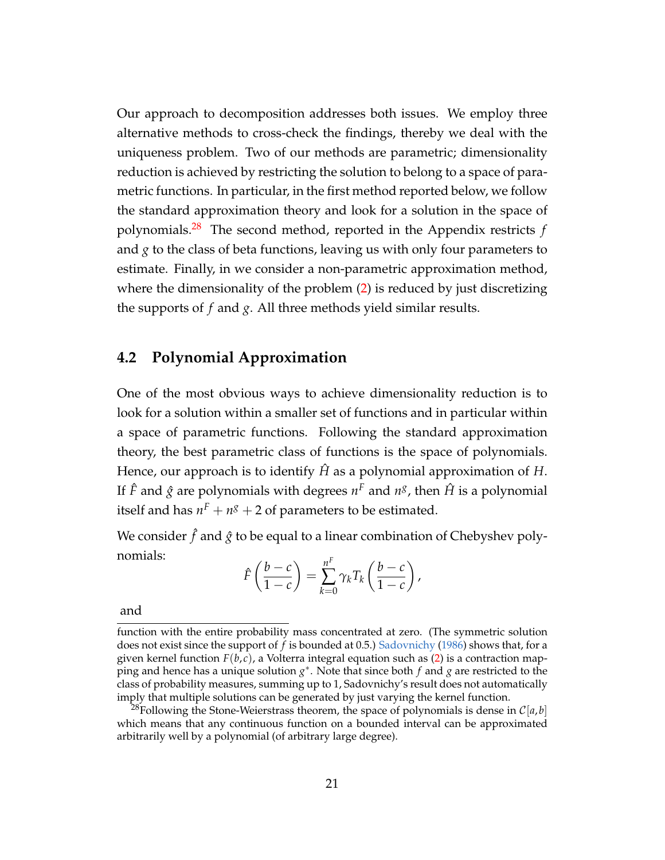Our approach to decomposition addresses both issues. We employ three alternative methods to cross-check the findings, thereby we deal with the uniqueness problem. Two of our methods are parametric; dimensionality reduction is achieved by restricting the solution to belong to a space of parametric functions. In particular, in the first method reported below, we follow the standard approximation theory and look for a solution in the space of polynomials.[28](#page-22-0) The second method, reported in the Appendix restricts *f* and *g* to the class of beta functions, leaving us with only four parameters to estimate. Finally, in we consider a non-parametric approximation method, where the dimensionality of the problem [\(2\)](#page-21-0) is reduced by just discretizing the supports of *f* and *g*. All three methods yield similar results.

### **4.2 Polynomial Approximation**

One of the most obvious ways to achieve dimensionality reduction is to look for a solution within a smaller set of functions and in particular within a space of parametric functions. Following the standard approximation theory, the best parametric class of functions is the space of polynomials. Hence, our approach is to identify  $\hat{H}$  as a polynomial approximation of  $H$ . If  $\hat{F}$  and  $\hat{g}$  are polynomials with degrees  $n^F$  and  $n^g$ , then  $\hat{H}$  is a polynomial itself and has  $n^F + n^g + 2$  of parameters to be estimated.

We consider  $\hat{f}$  and  $\hat{g}$  to be equal to a linear combination of Chebyshev polynomials: *F*

$$
\hat{F}\left(\frac{b-c}{1-c}\right) = \sum_{k=0}^{n^r} \gamma_k T_k \left(\frac{b-c}{1-c}\right),
$$

and

function with the entire probability mass concentrated at zero. (The symmetric solution does not exist since the support of *f* is bounded at 0.5.) [Sadovnichy](#page-46-5) [\(1986\)](#page-46-5) shows that, for a given kernel function  $F(b,c)$ , a Volterra integral equation such as [\(2\)](#page-21-0) is a contraction mapping and hence has a unique solution *g* ∗ . Note that since both *f* and *g* are restricted to the class of probability measures, summing up to 1, Sadovnichy's result does not automatically imply that multiple solutions can be generated by just varying the kernel function.

<span id="page-22-0"></span><sup>&</sup>lt;sup>28</sup>Following the Stone-Weierstrass theorem, the space of polynomials is dense in  $C[a, b]$ which means that any continuous function on a bounded interval can be approximated arbitrarily well by a polynomial (of arbitrary large degree).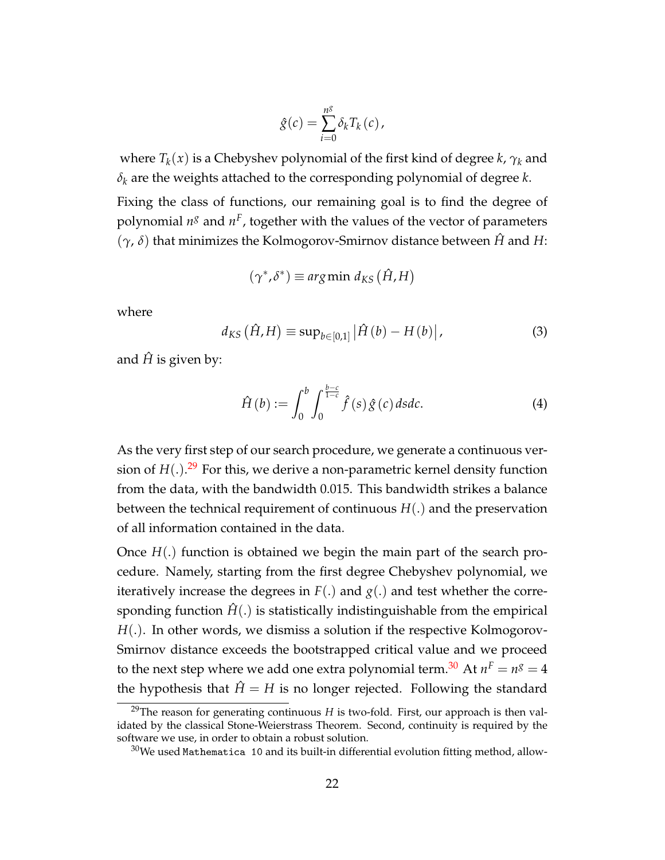$$
\hat{g}(c) = \sum_{i=0}^{n^g} \delta_k T_k(c),
$$

where  $T_k(x)$  is a Chebyshev polynomial of the first kind of degree *k*,  $\gamma_k$  and *δ<sup>k</sup>* are the weights attached to the corresponding polynomial of degree *k*.

Fixing the class of functions, our remaining goal is to find the degree of polynomial  $n^g$  and  $n^F$ , together with the values of the vector of parameters (*γ*, *δ*) that minimizes the Kolmogorov-Smirnov distance between *H*ˆ and *H*:

$$
(\gamma^*, \delta^*) \equiv \arg\min \, d_{KS} \left(\hat{H}, H\right)
$$

where

<span id="page-23-3"></span>
$$
d_{KS}\left(\hat{H},H\right) \equiv \sup_{b\in[0,1]} \left|\hat{H}\left(b\right) - H\left(b\right)\right|,\tag{3}
$$

and  $\hat{H}$  is given by:

<span id="page-23-2"></span>
$$
\hat{H}\left(b\right) := \int_0^b \int_0^{\frac{b-c}{1-c}} \hat{f}\left(s\right) \hat{g}\left(c\right) ds dc. \tag{4}
$$

As the very first step of our search procedure, we generate a continuous version of *H*(.). [29](#page-23-0) For this, we derive a non-parametric kernel density function from the data, with the bandwidth 0.015. This bandwidth strikes a balance between the technical requirement of continuous *H*(.) and the preservation of all information contained in the data.

Once *H*(.) function is obtained we begin the main part of the search procedure. Namely, starting from the first degree Chebyshev polynomial, we iteratively increase the degrees in  $F(.)$  and  $g(.)$  and test whether the corresponding function  $H(.)$  is statistically indistinguishable from the empirical *H*(.). In other words, we dismiss a solution if the respective Kolmogorov-Smirnov distance exceeds the bootstrapped critical value and we proceed to the next step where we add one extra polynomial term. $^{30}$  $^{30}$  $^{30}$  At  $n^F = n^g = 4$ the hypothesis that  $\hat{H} = H$  is no longer rejected. Following the standard

<span id="page-23-0"></span><sup>&</sup>lt;sup>29</sup>The reason for generating continuous *H* is two-fold. First, our approach is then validated by the classical Stone-Weierstrass Theorem. Second, continuity is required by the software we use, in order to obtain a robust solution.

<span id="page-23-1"></span> $30$ We used Mathematica 10 and its built-in differential evolution fitting method, allow-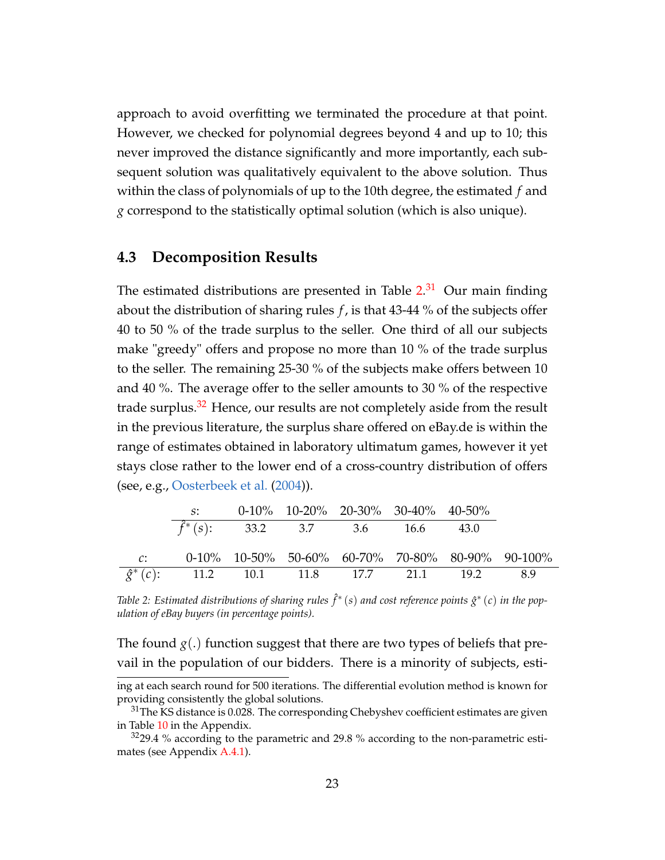approach to avoid overfitting we terminated the procedure at that point. However, we checked for polynomial degrees beyond 4 and up to 10; this never improved the distance significantly and more importantly, each subsequent solution was qualitatively equivalent to the above solution. Thus within the class of polynomials of up to the 10th degree, the estimated *f* and *g* correspond to the statistically optimal solution (which is also unique).

#### **4.3 Decomposition Results**

The estimated distributions are presented in Table  $2.31$  $2.31$  Our main finding about the distribution of sharing rules *f* , is that 43-44 % of the subjects offer 40 to 50 % of the trade surplus to the seller. One third of all our subjects make "greedy" offers and propose no more than 10 % of the trade surplus to the seller. The remaining 25-30 % of the subjects make offers between 10 and 40 %. The average offer to the seller amounts to 30 % of the respective trade surplus. $32$  Hence, our results are not completely aside from the result in the previous literature, the surplus share offered on eBay.de is within the range of estimates obtained in laboratory ultimatum games, however it yet stays close rather to the lower end of a cross-country distribution of offers (see, e.g., [Oosterbeek et al.](#page-45-0) [\(2004\)](#page-45-0)).

<span id="page-24-0"></span>

|       | $S^*$                                              | $0-10\%$ 10-20% 20-30% 30-40% 40-50% |  |                                                     |
|-------|----------------------------------------------------|--------------------------------------|--|-----------------------------------------------------|
|       | $\hat{f}^*(s)$ : 33.2 3.7 3.6 16.6 43.0            |                                      |  |                                                     |
| $C$ : |                                                    |                                      |  | $0-10\%$ 10-50% 50-60% 60-70% 70-80% 80-90% 90-100% |
|       | $\hat{g}^*(c)$ : 11.2 10.1 11.8 17.7 21.1 19.2 8.9 |                                      |  |                                                     |

Table 2: Estimated distributions of sharing rules  $\hat{f}^*(s)$  and cost reference points  $\hat{g}^*(c)$  in the pop*ulation of eBay buyers (in percentage points).*

The found  $g(.)$  function suggest that there are two types of beliefs that prevail in the population of our bidders. There is a minority of subjects, esti-

ing at each search round for 500 iterations. The differential evolution method is known for providing consistently the global solutions.

<span id="page-24-1"></span> $31$ The KS distance is 0.028. The corresponding Chebyshev coefficient estimates are given in Table [10](#page-35-0) in the Appendix.

<span id="page-24-2"></span> $3229.4$  % according to the parametric and 29.8 % according to the non-parametric estimates (see Appendix [A.4.1\)](#page-39-0).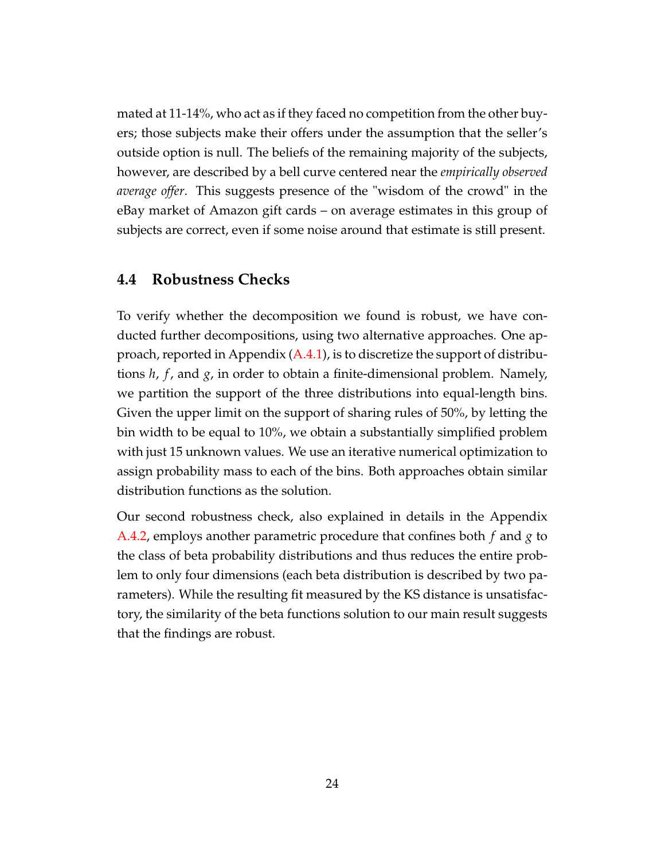mated at 11-14%, who act as if they faced no competition from the other buyers; those subjects make their offers under the assumption that the seller's outside option is null. The beliefs of the remaining majority of the subjects, however, are described by a bell curve centered near the *empirically observed average offer*. This suggests presence of the "wisdom of the crowd" in the eBay market of Amazon gift cards – on average estimates in this group of subjects are correct, even if some noise around that estimate is still present.

#### **4.4 Robustness Checks**

To verify whether the decomposition we found is robust, we have conducted further decompositions, using two alternative approaches. One approach, reported in Appendix [\(A.4.1\)](#page-39-0), is to discretize the support of distributions *h*, *f* , and *g*, in order to obtain a finite-dimensional problem. Namely, we partition the support of the three distributions into equal-length bins. Given the upper limit on the support of sharing rules of 50%, by letting the bin width to be equal to 10%, we obtain a substantially simplified problem with just 15 unknown values. We use an iterative numerical optimization to assign probability mass to each of the bins. Both approaches obtain similar distribution functions as the solution.

Our second robustness check, also explained in details in the Appendix [A.4.2,](#page-40-0) employs another parametric procedure that confines both *f* and *g* to the class of beta probability distributions and thus reduces the entire problem to only four dimensions (each beta distribution is described by two parameters). While the resulting fit measured by the KS distance is unsatisfactory, the similarity of the beta functions solution to our main result suggests that the findings are robust.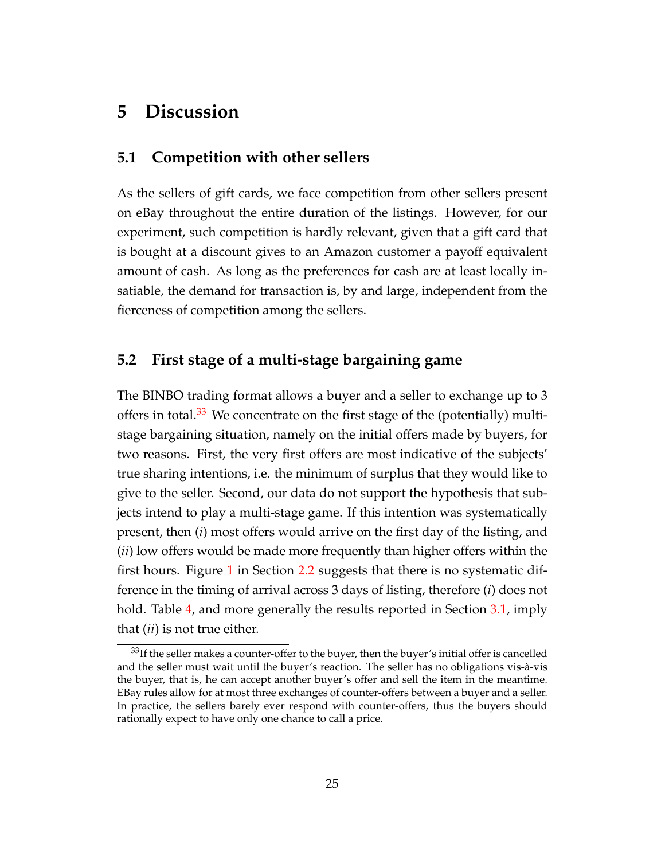### <span id="page-26-1"></span>**5 Discussion**

#### <span id="page-26-0"></span>**5.1 Competition with other sellers**

As the sellers of gift cards, we face competition from other sellers present on eBay throughout the entire duration of the listings. However, for our experiment, such competition is hardly relevant, given that a gift card that is bought at a discount gives to an Amazon customer a payoff equivalent amount of cash. As long as the preferences for cash are at least locally insatiable, the demand for transaction is, by and large, independent from the fierceness of competition among the sellers.

### **5.2 First stage of a multi-stage bargaining game**

The BINBO trading format allows a buyer and a seller to exchange up to 3 offers in total.<sup>[33](#page-26-2)</sup> We concentrate on the first stage of the (potentially) multistage bargaining situation, namely on the initial offers made by buyers, for two reasons. First, the very first offers are most indicative of the subjects' true sharing intentions, i.e. the minimum of surplus that they would like to give to the seller. Second, our data do not support the hypothesis that subjects intend to play a multi-stage game. If this intention was systematically present, then (*i*) most offers would arrive on the first day of the listing, and (*ii*) low offers would be made more frequently than higher offers within the first hours. Figure [1](#page-12-2) in Section [2.2](#page-12-0) suggests that there is no systematic difference in the timing of arrival across 3 days of listing, therefore (*i*) does not hold. Table [4,](#page-32-0) and more generally the results reported in Section [3.1,](#page-14-1) imply that (*ii*) is not true either.

<span id="page-26-2"></span> $33$ If the seller makes a counter-offer to the buyer, then the buyer's initial offer is cancelled and the seller must wait until the buyer's reaction. The seller has no obligations vis-à-vis the buyer, that is, he can accept another buyer's offer and sell the item in the meantime. EBay rules allow for at most three exchanges of counter-offers between a buyer and a seller. In practice, the sellers barely ever respond with counter-offers, thus the buyers should rationally expect to have only one chance to call a price.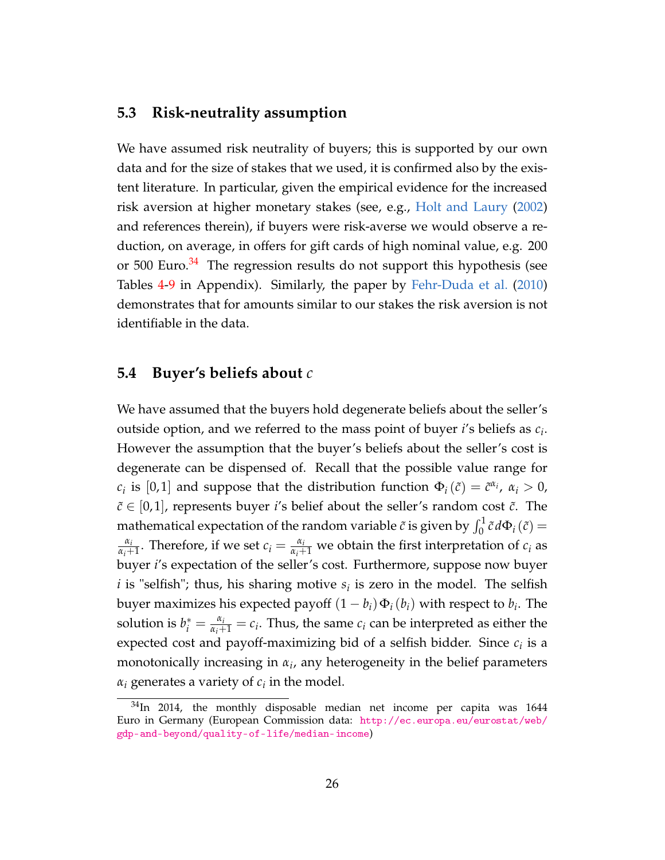#### **5.3 Risk-neutrality assumption**

We have assumed risk neutrality of buyers; this is supported by our own data and for the size of stakes that we used, it is confirmed also by the existent literature. In particular, given the empirical evidence for the increased risk aversion at higher monetary stakes (see, e.g., [Holt and Laury](#page-44-6) [\(2002\)](#page-44-6) and references therein), if buyers were risk-averse we would observe a reduction, on average, in offers for gift cards of high nominal value, e.g. 200 or 500 Euro. $34$  The regression results do not support this hypothesis (see Tables [4](#page-32-0)[-9](#page-34-1) in Appendix). Similarly, the paper by [Fehr-Duda et al.](#page-43-10) [\(2010\)](#page-43-10) demonstrates that for amounts similar to our stakes the risk aversion is not identifiable in the data.

#### <span id="page-27-0"></span>**5.4 Buyer's beliefs about** *c*

We have assumed that the buyers hold degenerate beliefs about the seller's outside option, and we referred to the mass point of buyer *i*'s beliefs as *c<sup>i</sup>* . However the assumption that the buyer's beliefs about the seller's cost is degenerate can be dispensed of. Recall that the possible value range for *c*<sub>*i*</sub> is [0,1] and suppose that the distribution function  $\Phi_i(\tilde{c}) = \tilde{c}^{\alpha_i}$ ,  $\alpha_i > 0$ ,  $\tilde{c} \in [0, 1]$ , represents buyer *i*'s belief about the seller's random cost  $\tilde{c}$ . The mathematical expectation of the random variable  $\tilde{c}$  is given by  $\int_0^1 \tilde{c} \, d\Phi_i(\tilde{c}) =$ *αi*  $\frac{\alpha_i}{\alpha_i+1}$ . Therefore, if we set  $c_i = \frac{\alpha_i}{\alpha_i+1}$  we obtain the first interpretation of  $c_i$  as buyer *i*'s expectation of the seller's cost. Furthermore, suppose now buyer  $i$  is "selfish"; thus, his sharing motive  $s_i$  is zero in the model. The selfish buyer maximizes his expected payoff  $(1-b_i)\Phi_i(b_i)$  with respect to  $b_i$ . The solution is  $b_i^* = \frac{\alpha_i}{\alpha_i + 1} = c_i$ . Thus, the same  $c_i$  can be interpreted as either the expected cost and payoff-maximizing bid of a selfish bidder. Since *c<sup>i</sup>* is a monotonically increasing in *α<sup>i</sup>* , any heterogeneity in the belief parameters  $\alpha_i$  generates a variety of  $c_i$  in the model.

<span id="page-27-1"></span> $34$ In 2014, the monthly disposable median net income per capita was 1644 Euro in Germany (European Commission data: [http://ec.europa.eu/eurostat/web/](http://ec.europa.eu/eurostat/web/gdp-and-beyond/quality-of-life/median-income) [gdp-and-beyond/quality-of-life/median-income](http://ec.europa.eu/eurostat/web/gdp-and-beyond/quality-of-life/median-income))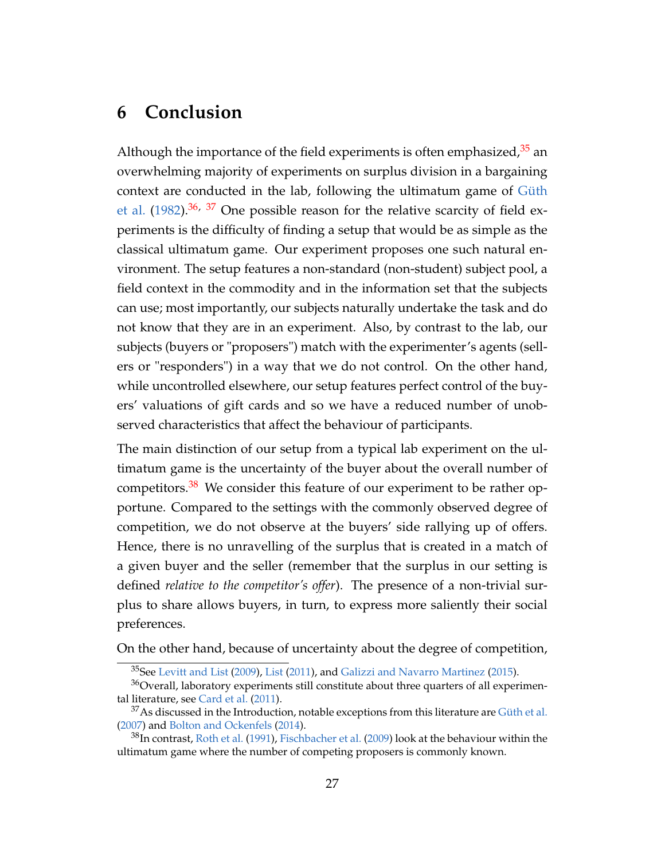## <span id="page-28-0"></span>**6 Conclusion**

Although the importance of the field experiments is often emphasized, $35$  an overwhelming majority of experiments on surplus division in a bargaining context are conducted in the lab, following the ultimatum game of [Güth](#page-44-7) [et al.](#page-44-7)  $(1982)$ .<sup>[36,](#page-28-2) [37](#page-28-3)</sup> One possible reason for the relative scarcity of field experiments is the difficulty of finding a setup that would be as simple as the classical ultimatum game. Our experiment proposes one such natural environment. The setup features a non-standard (non-student) subject pool, a field context in the commodity and in the information set that the subjects can use; most importantly, our subjects naturally undertake the task and do not know that they are in an experiment. Also, by contrast to the lab, our subjects (buyers or "proposers") match with the experimenter's agents (sellers or "responders") in a way that we do not control. On the other hand, while uncontrolled elsewhere, our setup features perfect control of the buyers' valuations of gift cards and so we have a reduced number of unobserved characteristics that affect the behaviour of participants.

The main distinction of our setup from a typical lab experiment on the ultimatum game is the uncertainty of the buyer about the overall number of competitors.<sup>[38](#page-28-4)</sup> We consider this feature of our experiment to be rather opportune. Compared to the settings with the commonly observed degree of competition, we do not observe at the buyers' side rallying up of offers. Hence, there is no unravelling of the surplus that is created in a match of a given buyer and the seller (remember that the surplus in our setting is defined *relative to the competitor's offer*). The presence of a non-trivial surplus to share allows buyers, in turn, to express more saliently their social preferences.

On the other hand, because of uncertainty about the degree of competition,

<span id="page-28-2"></span><span id="page-28-1"></span> $35$ See [Levitt and List](#page-44-8) [\(2009\)](#page-44-8), [List](#page-45-10) [\(2011\)](#page-45-10), and [Galizzi and Navarro Martinez](#page-43-11) [\(2015\)](#page-43-11).

 $36$ Overall, laboratory experiments still constitute about three quarters of all experimental literature, see [Card et al.](#page-42-9) [\(2011\)](#page-42-9).

<span id="page-28-3"></span> $37$ As discussed in the Introduction, notable exceptions from this literature are [Güth et al.](#page-44-9) [\(2007\)](#page-44-9) and [Bolton and Ockenfels](#page-42-4) [\(2014\)](#page-42-4).

<span id="page-28-4"></span> $38$ In contrast, [Roth et al.](#page-45-1) [\(1991\)](#page-45-1), [Fischbacher et al.](#page-43-9) [\(2009\)](#page-43-9) look at the behaviour within the ultimatum game where the number of competing proposers is commonly known.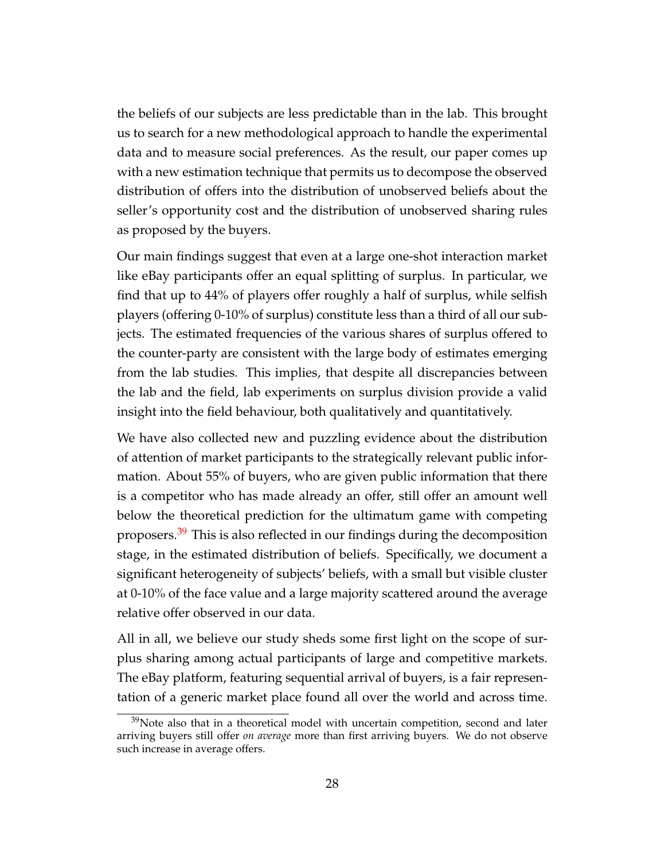the beliefs of our subjects are less predictable than in the lab. This brought us to search for a new methodological approach to handle the experimental data and to measure social preferences. As the result, our paper comes up with a new estimation technique that permits us to decompose the observed distribution of offers into the distribution of unobserved beliefs about the seller's opportunity cost and the distribution of unobserved sharing rules as proposed by the buyers.

Our main findings suggest that even at a large one-shot interaction market like eBay participants offer an equal splitting of surplus. In particular, we find that up to 44% of players offer roughly a half of surplus, while selfish players (offering 0-10% of surplus) constitute less than a third of all our subjects. The estimated frequencies of the various shares of surplus offered to the counter-party are consistent with the large body of estimates emerging from the lab studies. This implies, that despite all discrepancies between the lab and the field, lab experiments on surplus division provide a valid insight into the field behaviour, both qualitatively and quantitatively.

We have also collected new and puzzling evidence about the distribution of attention of market participants to the strategically relevant public information. About 55% of buyers, who are given public information that there is a competitor who has made already an offer, still offer an amount well below the theoretical prediction for the ultimatum game with competing proposers.<sup>[39](#page-29-0)</sup> This is also reflected in our findings during the decomposition stage, in the estimated distribution of beliefs. Specifically, we document a significant heterogeneity of subjects' beliefs, with a small but visible cluster at 0-10% of the face value and a large majority scattered around the average relative offer observed in our data.

All in all, we believe our study sheds some first light on the scope of surplus sharing among actual participants of large and competitive markets. The eBay platform, featuring sequential arrival of buyers, is a fair representation of a generic market place found all over the world and across time.

<span id="page-29-0"></span> $39$ Note also that in a theoretical model with uncertain competition, second and later arriving buyers still offer *on average* more than first arriving buyers. We do not observe such increase in average offers.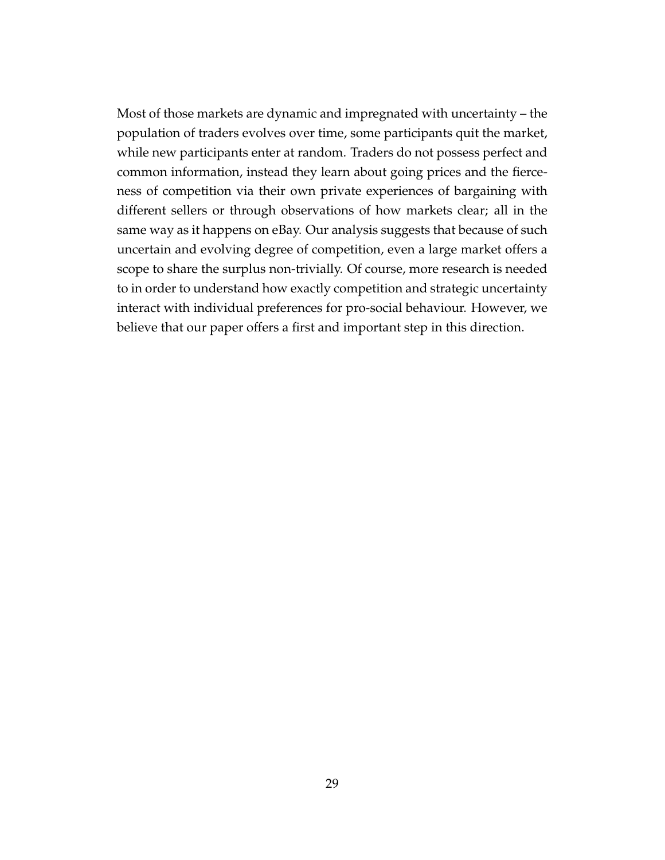Most of those markets are dynamic and impregnated with uncertainty – the population of traders evolves over time, some participants quit the market, while new participants enter at random. Traders do not possess perfect and common information, instead they learn about going prices and the fierceness of competition via their own private experiences of bargaining with different sellers or through observations of how markets clear; all in the same way as it happens on eBay. Our analysis suggests that because of such uncertain and evolving degree of competition, even a large market offers a scope to share the surplus non-trivially. Of course, more research is needed to in order to understand how exactly competition and strategic uncertainty interact with individual preferences for pro-social behaviour. However, we believe that our paper offers a first and important step in this direction.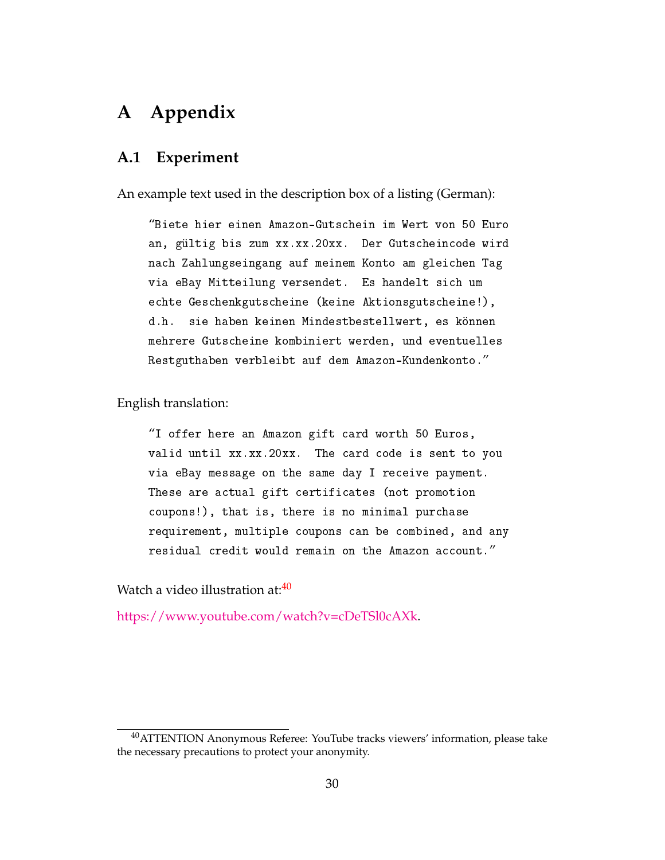## **A Appendix**

#### <span id="page-31-0"></span>**A.1 Experiment**

An example text used in the description box of a listing (German):

"Biete hier einen Amazon-Gutschein im Wert von 50 Euro an, gültig bis zum xx.xx.20xx. Der Gutscheincode wird nach Zahlungseingang auf meinem Konto am gleichen Tag via eBay Mitteilung versendet. Es handelt sich um echte Geschenkgutscheine (keine Aktionsgutscheine!), d.h. sie haben keinen Mindestbestellwert, es können mehrere Gutscheine kombiniert werden, und eventuelles Restguthaben verbleibt auf dem Amazon-Kundenkonto."

English translation:

"I offer here an Amazon gift card worth 50 Euros, valid until xx.xx.20xx. The card code is sent to you via eBay message on the same day I receive payment. These are actual gift certificates (not promotion coupons!), that is, there is no minimal purchase requirement, multiple coupons can be combined, and any residual credit would remain on the Amazon account."

Watch a video illustration at:<sup>[40](#page-31-1)</sup>

[https://www.youtube.com/watch?v=cDeTSl0cAXk.](https://www.youtube.com/watch?v=cDeTSl0cAXk)

<span id="page-31-1"></span><sup>&</sup>lt;sup>40</sup>ATTENTION Anonymous Referee: YouTube tracks viewers' information, please take the necessary precautions to protect your anonymity.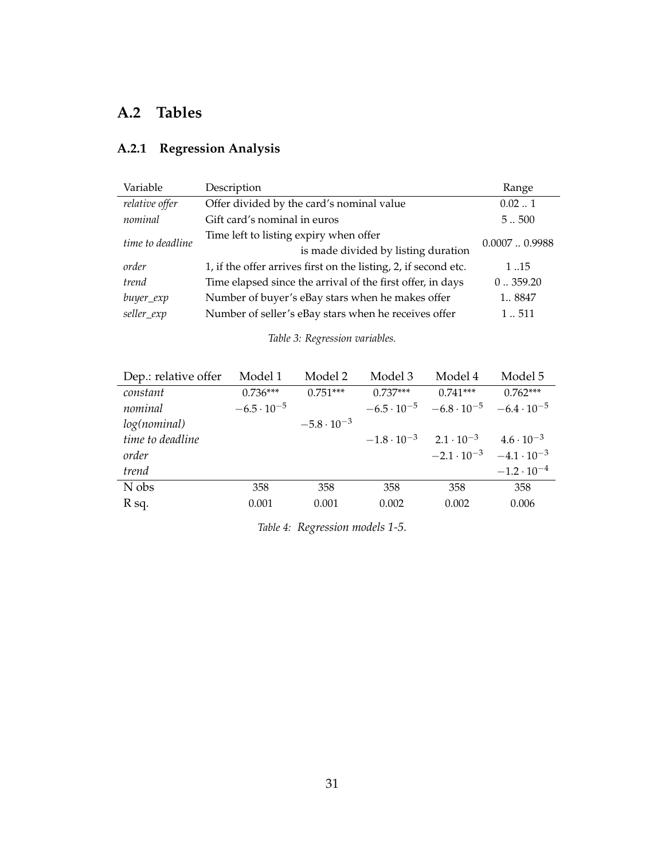### **A.2 Tables**

### **A.2.1 Regression Analysis**

| Variable         | Description                                                     | Range        |  |
|------------------|-----------------------------------------------------------------|--------------|--|
| relative offer   | Offer divided by the card's nominal value                       | 0.021        |  |
| nominal          | Gift card's nominal in euros                                    | 5500         |  |
|                  | Time left to listing expiry when offer                          | 0.00070.9988 |  |
| time to deadline | is made divided by listing duration                             |              |  |
| order            | 1, if the offer arrives first on the listing, 2, if second etc. | 1.15         |  |
| trend            | Time elapsed since the arrival of the first offer, in days      | 0.359.20     |  |
| buyer_exp        | Number of buyer's eBay stars when he makes offer                | 1 8847       |  |
| seller_exp       | Number of seller's eBay stars when he receives offer            | 1511         |  |

*Table 3: Regression variables.*

<span id="page-32-0"></span>

| Dep.: relative offer | Model 1              | Model 2              | Model 3                                  | Model 4                                                        | Model 5              |
|----------------------|----------------------|----------------------|------------------------------------------|----------------------------------------------------------------|----------------------|
| constant             | $0.736***$           | $0.751***$           | $0.737***$                               | $0.741***$                                                     | $0.762***$           |
| nominal              | $-6.5 \cdot 10^{-5}$ |                      |                                          | $-6.5 \cdot 10^{-5}$ $-6.8 \cdot 10^{-5}$ $-6.4 \cdot 10^{-5}$ |                      |
| log(nominal)         |                      | $-5.8 \cdot 10^{-3}$ |                                          |                                                                |                      |
| time to deadline     |                      |                      | $-1.8 \cdot 10^{-3}$ $2.1 \cdot 10^{-3}$ |                                                                | $4.6 \cdot 10^{-3}$  |
| order                |                      |                      |                                          | $-2.1 \cdot 10^{-3}$ $-4.1 \cdot 10^{-3}$                      |                      |
| trend                |                      |                      |                                          |                                                                | $-1.2 \cdot 10^{-4}$ |
| N obs                | 358                  | 358                  | 358                                      | 358                                                            | 358                  |
| R sq.                | 0.001                | 0.001                | 0.002                                    | 0.002                                                          | 0.006                |

*Table 4: Regression models 1-5.*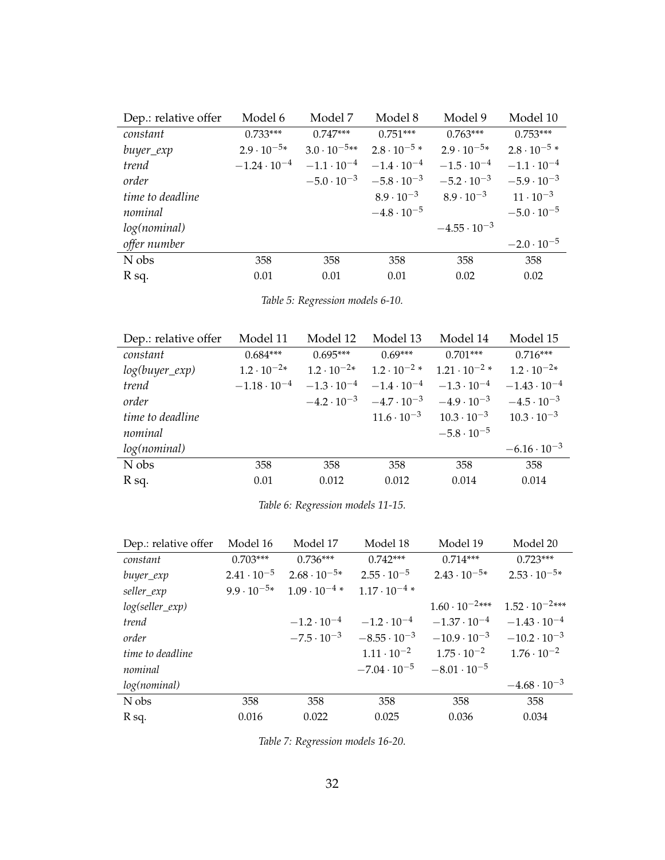<span id="page-33-0"></span>

| Dep.: relative offer | Model 6               | Model 7               | Model 8               | Model 9               | Model 10              |
|----------------------|-----------------------|-----------------------|-----------------------|-----------------------|-----------------------|
| constant             | $0.733***$            | $0.747***$            | $0.751***$            | $0.763***$            | $0.753***$            |
| buyer_exp            | $2.9 \cdot 10^{-5*}$  | $3.0 \cdot 10^{-5**}$ | $2.8 \cdot 10^{-5}$ * | $2.9 \cdot 10^{-5*}$  | $2.8 \cdot 10^{-5}$ * |
| trend                | $-1.24 \cdot 10^{-4}$ | $-1.1 \cdot 10^{-4}$  | $-1.4 \cdot 10^{-4}$  | $-1.5 \cdot 10^{-4}$  | $-1.1 \cdot 10^{-4}$  |
| order                |                       | $-5.0 \cdot 10^{-3}$  | $-5.8 \cdot 10^{-3}$  | $-5.2 \cdot 10^{-3}$  | $-5.9 \cdot 10^{-3}$  |
| time to deadline     |                       |                       | $8.9 \cdot 10^{-3}$   | $8.9 \cdot 10^{-3}$   | $11 \cdot 10^{-3}$    |
| nominal              |                       |                       | $-4.8 \cdot 10^{-5}$  |                       | $-5.0 \cdot 10^{-5}$  |
| log(nominal)         |                       |                       |                       | $-4.55 \cdot 10^{-3}$ |                       |
| offer number         |                       |                       |                       |                       | $-2.0 \cdot 10^{-5}$  |
| N obs                | 358                   | 358                   | 358                   | 358                   | 358                   |
| R sq.                | 0.01                  | 0.01                  | 0.01                  | 0.02                  | 0.02                  |

*Table 5: Regression models 6-10.*

<span id="page-33-1"></span>

| Dep.: relative offer | Model 11              | Model 12             | Model 13                                  | Model 14               | Model 15              |
|----------------------|-----------------------|----------------------|-------------------------------------------|------------------------|-----------------------|
| constant             | $0.684***$            | $0.695***$           | $0.69***$                                 | $0.701***$             | $0.716***$            |
| $log(buyer\_exp)$    | $1.2 \cdot 10^{-2*}$  | $1.2 \cdot 10^{-2*}$ | $1.2 \cdot 10^{-2}$ *                     | $1.21 \cdot 10^{-2}$ * | $1.2 \cdot 10^{-2*}$  |
| trend                | $-1.18 \cdot 10^{-4}$ | $-1.3 \cdot 10^{-4}$ | $-1.4 \cdot 10^{-4}$                      | $-1.3 \cdot 10^{-4}$   | $-1.43 \cdot 10^{-4}$ |
| order                |                       |                      | $-4.2 \cdot 10^{-3}$ $-4.7 \cdot 10^{-3}$ | $-4.9 \cdot 10^{-3}$   | $-4.5 \cdot 10^{-3}$  |
| time to deadline     |                       |                      | $11.6 \cdot 10^{-3}$                      | $10.3 \cdot 10^{-3}$   | $10.3 \cdot 10^{-3}$  |
| nominal              |                       |                      |                                           | $-5.8 \cdot 10^{-5}$   |                       |
| log(nominal)         |                       |                      |                                           |                        | $-6.16 \cdot 10^{-3}$ |
| N obs                | 358                   | 358                  | 358                                       | 358                    | 358                   |
| R sq.                | 0.01                  | 0.012                | 0.012                                     | 0.014                  | 0.014                 |
|                      |                       |                      |                                           |                        |                       |

*Table 6: Regression models 11-15.*

<span id="page-33-2"></span>

| Dep.: relative offer | Model 16             | Model 17               | Model 18               | Model 19                | Model 20                |
|----------------------|----------------------|------------------------|------------------------|-------------------------|-------------------------|
| constant             | $0.703***$           | $0.736***$             | $0.742***$             | $0.714***$              | $0.723***$              |
| buyer_exp            | $2.41 \cdot 10^{-5}$ | $2.68 \cdot 10^{-5*}$  | $2.55 \cdot 10^{-5}$   | $2.43 \cdot 10^{-5*}$   | $2.53 \cdot 10^{-5*}$   |
| seller_exp           | $9.9 \cdot 10^{-5*}$ | $1.09 \cdot 10^{-4}$ * | $1.17 \cdot 10^{-4}$ * |                         |                         |
| $log(selfer\_exp)$   |                      |                        |                        | $1.60 \cdot 10^{-2***}$ | $1.52 \cdot 10^{-2***}$ |
| trend                |                      | $-1.2 \cdot 10^{-4}$   | $-1.2 \cdot 10^{-4}$   | $-1.37 \cdot 10^{-4}$   | $-1.43 \cdot 10^{-4}$   |
| order                |                      | $-7.5 \cdot 10^{-3}$   | $-8.55 \cdot 10^{-3}$  | $-10.9 \cdot 10^{-3}$   | $-10.2 \cdot 10^{-3}$   |
| time to deadline     |                      |                        | $1.11 \cdot 10^{-2}$   | $1.75 \cdot 10^{-2}$    | $1.76 \cdot 10^{-2}$    |
| nominal              |                      |                        | $-7.04 \cdot 10^{-5}$  | $-8.01 \cdot 10^{-5}$   |                         |
| log(nominal)         |                      |                        |                        |                         | $-4.68 \cdot 10^{-3}$   |
| N obs                | 358                  | 358                    | 358                    | 358                     | 358                     |
| R sq.                | 0.016                | 0.022                  | 0.025                  | 0.036                   | 0.034                   |

*Table 7: Regression models 16-20.*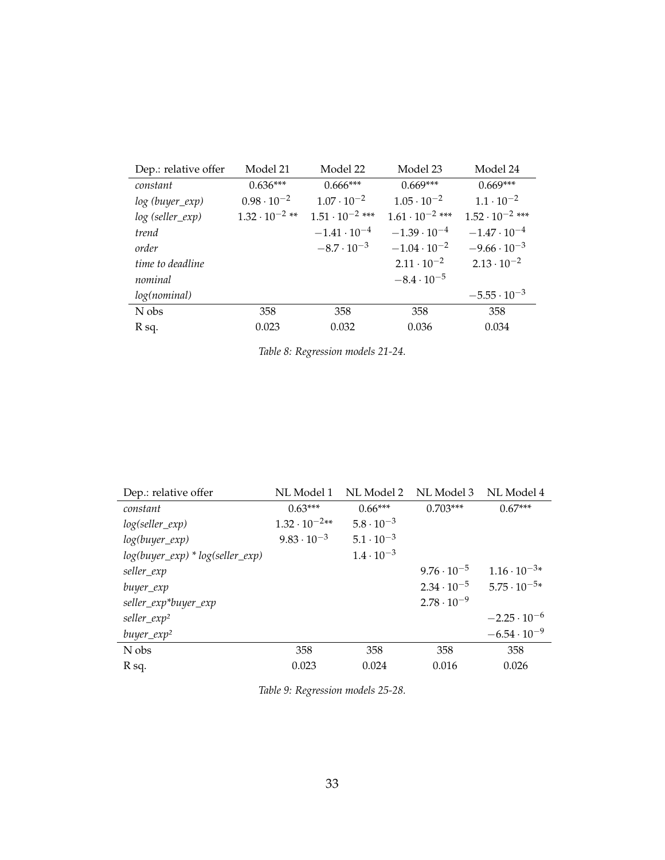<span id="page-34-0"></span>

| Dep.: relative offer | Model 21                | Model 22                 | Model 23                 | Model 24                 |
|----------------------|-------------------------|--------------------------|--------------------------|--------------------------|
| constant             | $0.636***$              | $0.666***$               | $0.669***$               | $0.669***$               |
| log (buyer_exp)      | $0.98 \cdot 10^{-2}$    | $1.07 \cdot 10^{-2}$     | $1.05 \cdot 10^{-2}$     | $1.1 \cdot 10^{-2}$      |
| log (seller_exp)     | $1.32 \cdot 10^{-2}$ ** | $1.51 \cdot 10^{-2}$ *** | $1.61 \cdot 10^{-2}$ *** | $1.52 \cdot 10^{-2}$ *** |
| trend                |                         | $-1.41 \cdot 10^{-4}$    | $-1.39 \cdot 10^{-4}$    | $-1.47 \cdot 10^{-4}$    |
| order                |                         | $-8.7 \cdot 10^{-3}$     | $-1.04 \cdot 10^{-2}$    | $-9.66 \cdot 10^{-3}$    |
| time to deadline     |                         |                          | $2.11 \cdot 10^{-2}$     | $2.13 \cdot 10^{-2}$     |
| nominal              |                         |                          | $-8.4 \cdot 10^{-5}$     |                          |
| log(nominal)         |                         |                          |                          | $-5.55 \cdot 10^{-3}$    |
| N obs                | 358                     | 358                      | 358                      | 358                      |
| R sq.                | 0.023                   | 0.032                    | 0.036                    | 0.034                    |

| Table 8: Regression models 21-24. |  |  |  |
|-----------------------------------|--|--|--|
|-----------------------------------|--|--|--|

<span id="page-34-1"></span>

| Dep.: relative offer                 | NL Model 1             | NL Model 2          | NL Model 3           | NL Model 4            |
|--------------------------------------|------------------------|---------------------|----------------------|-----------------------|
| constant                             | $0.63***$              | $0.66***$           | $0.703***$           | $0.67***$             |
| $log(selfer\_exp)$                   | $1.32 \cdot 10^{-2**}$ | $5.8 \cdot 10^{-3}$ |                      |                       |
| $log(buyer\_exp)$                    | $9.83 \cdot 10^{-3}$   | $5.1 \cdot 10^{-3}$ |                      |                       |
| $log(buyer\_exp) * log(seller\_exp)$ |                        | $1.4 \cdot 10^{-3}$ |                      |                       |
| seller_exp                           |                        |                     | $9.76 \cdot 10^{-5}$ | $1.16 \cdot 10^{-3*}$ |
| buyer_exp                            |                        |                     | $2.34 \cdot 10^{-5}$ | $5.75 \cdot 10^{-5*}$ |
| seller_exp*buyer_exp                 |                        |                     | $2.78 \cdot 10^{-9}$ |                       |
| seller_exp <sup>2</sup>              |                        |                     |                      | $-2.25 \cdot 10^{-6}$ |
| $buyer\_exp^2$                       |                        |                     |                      | $-6.54 \cdot 10^{-9}$ |
| N obs                                | 358                    | 358                 | 358                  | 358                   |
| R sq.                                | 0.023                  | 0.024               | 0.016                | 0.026                 |

*Table 9: Regression models 25-28.*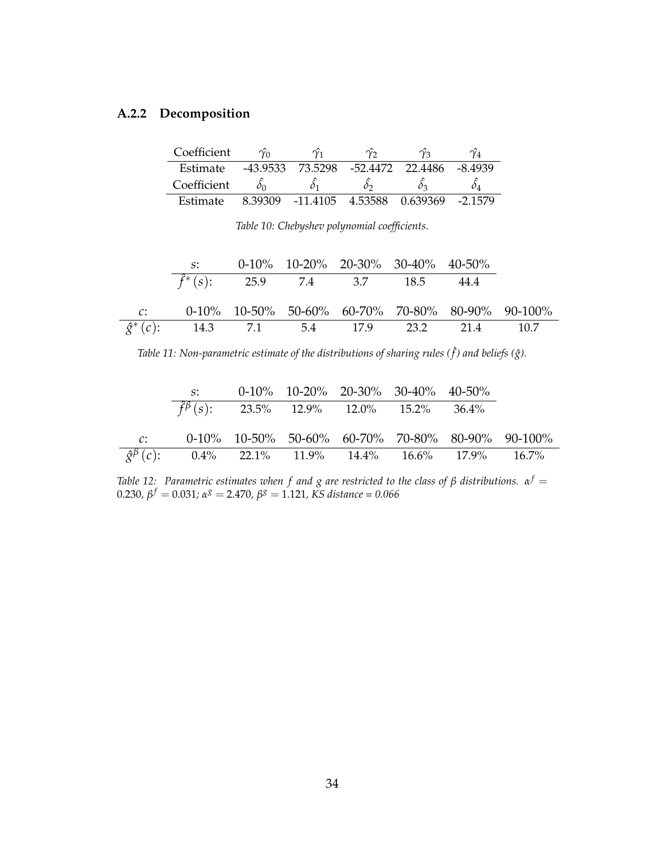#### <span id="page-35-0"></span>**A.2.2 Decomposition**

| Coefficient | $\gamma_0$ | $\gamma_1$                | $\gamma$ ว | $\gamma_2$       |           |
|-------------|------------|---------------------------|------------|------------------|-----------|
| Estimate    | -43.9533   | 73.5298                   |            | -52.4472 22.4486 | -8.4939   |
| Coefficient |            |                           |            |                  |           |
| Estimate    | 8.39309    | -11.4105 4.53588 0.639369 |            |                  | $-2.1579$ |

*Table 10: Chebyshev polynomial coefficients.*

<span id="page-35-1"></span>

| $S^*$                                             | $0-10\%$ 10-20% 20-30% 30-40% 40-50%    |  |                                                     |
|---------------------------------------------------|-----------------------------------------|--|-----------------------------------------------------|
|                                                   | $\hat{f}^*(s)$ : 25.9 7.4 3.7 18.5 44.4 |  |                                                     |
|                                                   |                                         |  | $0-10\%$ 10-50% 50-60% 60-70% 70-80% 80-90% 90-100% |
| $\hat{g}^*(c)$ : 14.3 7.1 5.4 17.9 23.2 21.4 10.7 |                                         |  |                                                     |

Table 11: Non-parametric estimate of the distributions of sharing rules (f) and beliefs (ĝ).

<span id="page-35-2"></span>

|                 | $S^*$                                                                     | $0-10\%$ 10-20% 20-30% 30-40% 40-50% |  |                                                     |
|-----------------|---------------------------------------------------------------------------|--------------------------------------|--|-----------------------------------------------------|
|                 | $\hat{f}^{\beta}(s)$ : 23.5% 12.9% 12.0% 15.2% 36.4%                      |                                      |  |                                                     |
|                 |                                                                           |                                      |  |                                                     |
| $\mathcal{C}$ : |                                                                           |                                      |  | $0-10\%$ 10-50% 50-60% 60-70% 70-80% 80-90% 90-100% |
|                 | $\hat{\mathcal{S}}^{\beta}(c)$ : 0.4% 22.1% 11.9% 14.4% 16.6% 17.9% 16.7% |                                      |  |                                                     |

*Table 12: Parametric estimates when f and g are restricted to the class of β distributions.*  $α^f =$ 0.230*, β <sup>f</sup>* = 0.031*; α <sup>g</sup>* = 2.470*, β <sup>g</sup>* = 1.121*, KS distance = 0.066*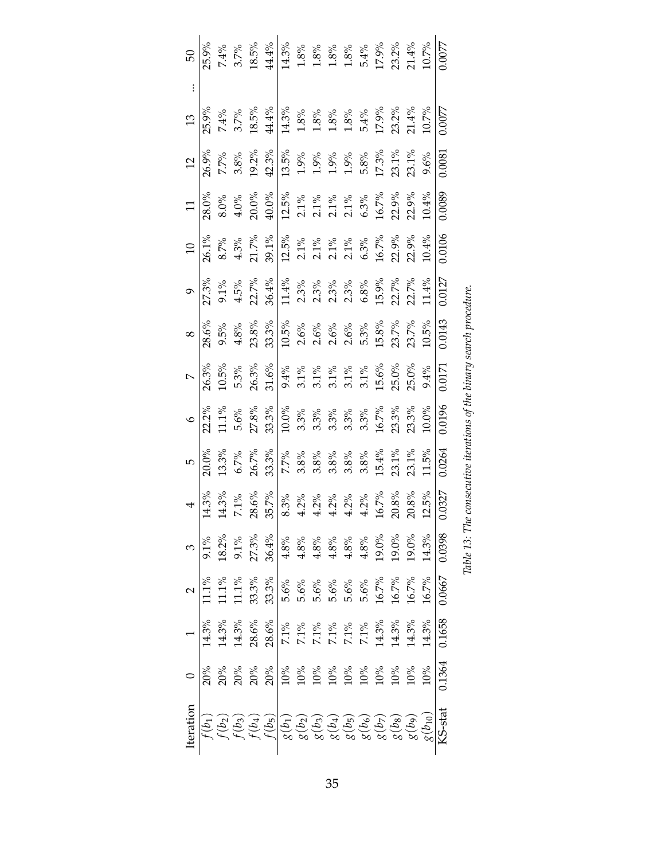<span id="page-36-0"></span>

| 50               | 25.9%                              |                 |                 | $7.4\%$ 3.7%<br>3.7%<br>3.8% & 8% & 8% & 8% & 8%<br>4.4%<br>4.8% & 8% & 8% & 8%<br>5.4%<br>5.1.4%<br>21.4%<br>21.4%<br>21.4%<br>21.4%<br>21.4%<br>21.4%<br>21.4%<br>21.4%<br>21.4%<br>21.4%<br>21.4%<br>21.5%<br>21.5%<br>21.5%<br>21.5%<br>21.5%<br>21.5%<br>21.5%<br>21.5%<br>21.                                                                                                                                                                          |                                                                                                                                                                                                                                                                                             |  |  |  |  |                                                                                                                                                                                                                                                                                                                                                                                                                                                                                                                 | 1.0077  |
|------------------|------------------------------------|-----------------|-----------------|--------------------------------------------------------------------------------------------------------------------------------------------------------------------------------------------------------------------------------------------------------------------------------------------------------------------------------------------------------------------------------------------------------------------------------------------------------------|---------------------------------------------------------------------------------------------------------------------------------------------------------------------------------------------------------------------------------------------------------------------------------------------|--|--|--|--|-----------------------------------------------------------------------------------------------------------------------------------------------------------------------------------------------------------------------------------------------------------------------------------------------------------------------------------------------------------------------------------------------------------------------------------------------------------------------------------------------------------------|---------|
|                  |                                    |                 |                 |                                                                                                                                                                                                                                                                                                                                                                                                                                                              |                                                                                                                                                                                                                                                                                             |  |  |  |  |                                                                                                                                                                                                                                                                                                                                                                                                                                                                                                                 |         |
|                  | $\frac{13}{25.9\%}$                |                 | $7.4\%$<br>3.7% | $18.5\%$                                                                                                                                                                                                                                                                                                                                                                                                                                                     | $\begin{array}{l} 44.4\%\\ 14.3\%\\ 1.8\%\\ 1.8\%\\ 1.8\%\\ 1.8\%\\ 1.8\%\\ 1.9\%\\ 1.9\%\\ 2.3.2\%\\ 2.1.4\%\\ 10.7\%\\ 10.7\%\\ \end{array}$                                                                                                                                              |  |  |  |  |                                                                                                                                                                                                                                                                                                                                                                                                                                                                                                                 | 0.0077  |
|                  | $\frac{12}{26.9\%}$                | $7.7\%$<br>3.8% |                 |                                                                                                                                                                                                                                                                                                                                                                                                                                                              | $\begin{array}{l} 19.2\% \\ 24.3\% \\ 19.5\% \\ 19.9\% \\ 19.9\% \\ 19.8\% \\ 19.3\% \\ 19.3\% \\ 19.3\% \\ 19.3\% \\ 19.3\% \\ 19.3\% \\ 19.3\% \\ 19.3\% \\ 19.3\% \\ 19.3\% \\ 19.3\% \\ 19.3\% \\ 19.3\% \\ 19.3\% \\ 19.3\% \\ 19.3\% \\ 19.3\% \\ 19.3\% \\ 19.3\% \\ 19.3\% \\ 19.3$ |  |  |  |  | 9.6%                                                                                                                                                                                                                                                                                                                                                                                                                                                                                                            | 0.0081  |
|                  | $\frac{11}{28.0\%}$                | $8.0\%$<br>4.0% |                 |                                                                                                                                                                                                                                                                                                                                                                                                                                                              | 20.0%<br>40.0%<br>40.0%<br>40.7%<br>21%<br>21%<br>21%<br>50.9%<br>50.9%                                                                                                                                                                                                                     |  |  |  |  | 10.4%                                                                                                                                                                                                                                                                                                                                                                                                                                                                                                           | 0.0089  |
| 10               |                                    |                 |                 |                                                                                                                                                                                                                                                                                                                                                                                                                                                              |                                                                                                                                                                                                                                                                                             |  |  |  |  |                                                                                                                                                                                                                                                                                                                                                                                                                                                                                                                 | 0.0106  |
|                  |                                    |                 |                 | $\begin{array}{c c} 9 \\ 27.3\% \\ 9.1\% \\ 4.5\% \\ 21.7\% \\ 36.4\% \\ 11.4\% \\ 22.7\% \\ 36.4\% \\ 11.4\% \\ 23.3\% \\ 36.8\% \\ 28.8\% \\ 29.8\% \\ 20.7\% \\ 21.4\% \\ 21.4\% \\ \end{array}$                                                                                                                                                                                                                                                          |                                                                                                                                                                                                                                                                                             |  |  |  |  |                                                                                                                                                                                                                                                                                                                                                                                                                                                                                                                 | 0.0127  |
|                  | $\frac{8}{28.6\%}$<br>9.5%<br>4.8% |                 |                 | $\begin{array}{l} 23.8\% \\ 23.3\% \\ 30.5\% \\ 10.5\% \\ \text{A} \quad \text{A} \quad \text{B} \quad \text{C} \quad \text{C} \quad \text{C} \quad \text{C} \quad \text{C} \quad \text{C} \quad \text{C} \quad \text{C} \quad \text{C} \quad \text{C} \quad \text{C} \quad \text{C} \quad \text{C} \quad \text{C} \quad \text{C} \quad \text{C} \quad \text{C} \quad \text{C} \quad \text{C} \quad \text{C} \quad \text{C} \quad \text{C} \quad \text{C} \$ |                                                                                                                                                                                                                                                                                             |  |  |  |  |                                                                                                                                                                                                                                                                                                                                                                                                                                                                                                                 | 0.0143  |
|                  |                                    |                 |                 | $\begin{array}{c c c c c c c c c} \hline \text{7} & \text{26.3\%} & \text{28.3\%} & \text{29.3\%} & \text{20.5\%} & \text{20.5\%} & \text{21.6\%} & \text{22.5\%} & \text{23.5\%} & \text{24.5\%} & \text{25.5\%} & \text{26.5\%} & \text{27.5\%} & \text{28.5\%} & \text{29.5\%} & \text{20.5\%} & \text{21.5\%} & \text{22.5\%} & \$                                                                                                                       |                                                                                                                                                                                                                                                                                             |  |  |  |  | 9.4%                                                                                                                                                                                                                                                                                                                                                                                                                                                                                                            | 0.0171  |
|                  | $rac{6}{22.2\%}$<br>11.1%          |                 |                 | $\begin{array}{l} 5.6\% \\ 27.8\% \\ 33.3\% \\ 10.0\% \\ 3.3\% \\ 3.3\% \\ 4.7\% \\ 5.3\% \\ 6.7\% \\ 7.3\% \\ 8.3\% \\ 9.8\% \\ 10.7\% \\ 12.3\% \\ 23.3\% \\ 23.3\% \\ \end{array}$                                                                                                                                                                                                                                                                        |                                                                                                                                                                                                                                                                                             |  |  |  |  | $10.0\%$                                                                                                                                                                                                                                                                                                                                                                                                                                                                                                        | 0.0196  |
| IJ               | 20.0%                              | 13.3%           | 6.7%            |                                                                                                                                                                                                                                                                                                                                                                                                                                                              |                                                                                                                                                                                                                                                                                             |  |  |  |  | 11.5%                                                                                                                                                                                                                                                                                                                                                                                                                                                                                                           | 0.0264  |
|                  | $\frac{14.3\%}{14.3\%}$<br>14.3%   |                 |                 |                                                                                                                                                                                                                                                                                                                                                                                                                                                              |                                                                                                                                                                                                                                                                                             |  |  |  |  | $12.5\%$                                                                                                                                                                                                                                                                                                                                                                                                                                                                                                        | 0.0327  |
|                  |                                    |                 |                 |                                                                                                                                                                                                                                                                                                                                                                                                                                                              |                                                                                                                                                                                                                                                                                             |  |  |  |  |                                                                                                                                                                                                                                                                                                                                                                                                                                                                                                                 | 0.0398  |
|                  |                                    |                 |                 |                                                                                                                                                                                                                                                                                                                                                                                                                                                              |                                                                                                                                                                                                                                                                                             |  |  |  |  |                                                                                                                                                                                                                                                                                                                                                                                                                                                                                                                 | 0.0667  |
|                  |                                    |                 |                 |                                                                                                                                                                                                                                                                                                                                                                                                                                                              |                                                                                                                                                                                                                                                                                             |  |  |  |  | $\begin{array}{r l} 1 & 1 & 14.3\% \\ \hline 14.3\% & 28.6\% \\ 28.6\% & 7.1\% \\ 29.7\% & 7.1\% \\ 14.3\% & 1.1\% \\ 1.1\% & 1.1\% \\ 1.1\% & 1.1\% \\ 1.1\% & 1.1\% \\ 1.1\% & 1.1\% \\ 1.1\% & 1.1\% \\ 1.1\% & 1.1\% \\ 1.1\% & 1.1\% \\ 1.1\% & 1.1\% \\ 1.1\% & 1.1\% \\ 1.1\% &$                                                                                                                                                                                                                         |         |
|                  |                                    |                 |                 |                                                                                                                                                                                                                                                                                                                                                                                                                                                              |                                                                                                                                                                                                                                                                                             |  |  |  |  |                                                                                                                                                                                                                                                                                                                                                                                                                                                                                                                 | 0.1364  |
| <b>Iteration</b> |                                    |                 |                 |                                                                                                                                                                                                                                                                                                                                                                                                                                                              |                                                                                                                                                                                                                                                                                             |  |  |  |  | $\begin{array}{r} \hline \left( b_1 \right) \\ \hline \left( b_2 \right) \\ \hline \left( b_3 \right) \\ \hline \left( b_4 \right) \\ \hline \left( b_5 \right) \\ \hline \left( b_6 \right) \\ \hline \left( b_7 \right) \\ \hline \left( b_8 \right) \\ \hline \left( b_3 \right) \\ \hline \left( b_2 \right) \\ \hline \left( b_3 \right) \\ \hline \left( b_4 \right) \\ \hline \left( b_5 \right) \\ \hline \left( b_6 \right) \\ \hline \left( b_7 \right) \\ \hline \left( b_8 \right) \\ \hline \left$ | KS-stat |

| $\cdots$ . The exponention it evaluate of the hindry sedical maced in . |
|-------------------------------------------------------------------------|
| וווע טווע                                                               |
|                                                                         |
| ちゅうこう フェ                                                                |
|                                                                         |
|                                                                         |
| LUDIE 10. INEV.                                                         |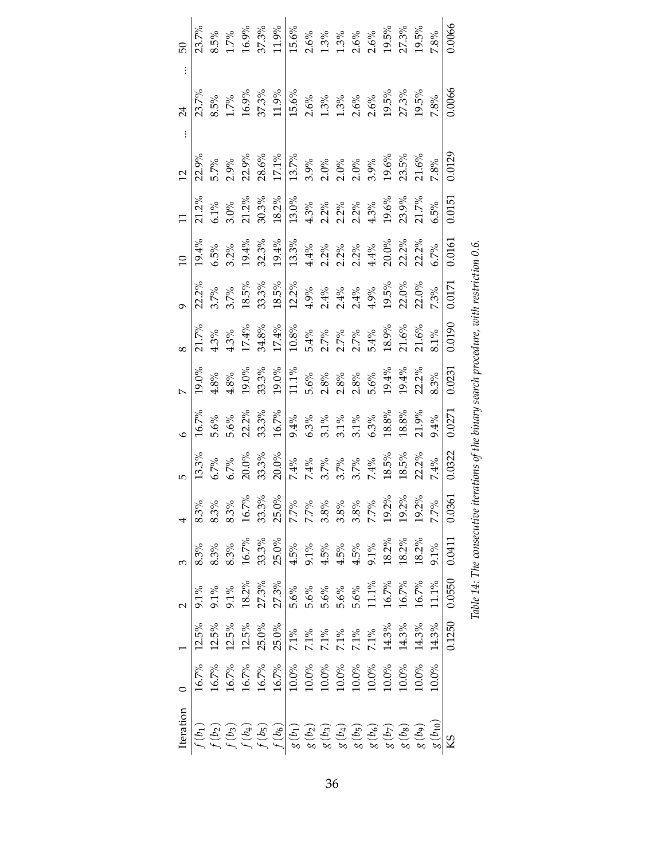<span id="page-37-0"></span>

|           | 23.7%    |         |                  | 8.5%<br>1.7%<br>16.9%<br>37.3% |       | 1.9%                                                                                                                                                                                                                                                                                                                                                                                                                                                                                                    | $15.6\%$ |                                                                                                                                                                                                                                                                                                      |                         | $2.6%$<br>$1.3%$<br>$1.3%$<br>$2.6%$<br>$2.6%$<br>$19.5%$<br>$27.3%$<br>$19.5%$ |         |  |                                             |       | $7.8\%$                 | 0.0066     |
|-----------|----------|---------|------------------|--------------------------------|-------|---------------------------------------------------------------------------------------------------------------------------------------------------------------------------------------------------------------------------------------------------------------------------------------------------------------------------------------------------------------------------------------------------------------------------------------------------------------------------------------------------------|----------|------------------------------------------------------------------------------------------------------------------------------------------------------------------------------------------------------------------------------------------------------------------------------------------------------|-------------------------|---------------------------------------------------------------------------------|---------|--|---------------------------------------------|-------|-------------------------|------------|
|           | 23.7%    |         |                  | $8.5\%$<br>1.7%<br>16.9%       | 37.3% | 11.9%                                                                                                                                                                                                                                                                                                                                                                                                                                                                                                   |          | $\begin{array}{l} 15.6\% \\ 2.6\% \\ 1.3\% \\ 1.3\% \\ 2.6\% \\ 2.6\% \\ 19.5\% \\ 19.5\% \\ 19.5\% \end{array}$                                                                                                                                                                                     |                         |                                                                                 |         |  |                                             |       | $7.8\%$                 | 0.0066     |
|           | 2.9%     | 5.7%    | 2.9%             | 22.9%                          |       | $\begin{array}{l} 28.6\% \\ 29.7\% \\ 11.7\% \\ 20.0\% \\ 3.6\% \\ 4.6\% \\ 5.7\% \\ 6.8\% \\ 7.8\% \\ 8.9\% \\ 13.6\% \\ 14.6\% \\ 15.8\% \\ 16.8\% \\ 17.6\% \\ \end{array}$                                                                                                                                                                                                                                                                                                                          |          |                                                                                                                                                                                                                                                                                                      |                         |                                                                                 |         |  |                                             |       | 7.8%                    | 0.0129     |
|           | $21.2\%$ | $5.1\%$ | $3.0\%$          |                                |       | $\begin{array}{l} 21.2\% \\ 30.3\% \\ 18.2\% \end{array}$                                                                                                                                                                                                                                                                                                                                                                                                                                               |          | $\begin{array}{l} \frac{13.0\%}{13.0\%} \\ 4.3\% \\ 2.2\% \\ 2.2\% \\ 2.3\% \\ 2.4\% \\ 2.3\% \\ 2.3\% \\ 2.3\% \\ 2.3\% \\ 2.3\% \\ 2.4\% \\ 2.5\% \\ 2.5\% \\ 2.5\% \\ 2.5\% \\ 2.5\% \\ 2.5\% \\ 2.5\% \\ 2.5\% \\ 2.5\% \\ 2.5\% \\ 2.5\% \\ 2.5\% \\ 2.5\% \\ 2.5\% \\ 2.5\% \\ 2.5\% \\ 2.5\%$ |                         |                                                                                 |         |  |                                             |       | $5\%$                   | 0.0151     |
|           | 19.4%    | $5.5\%$ | $3.2\%$          | $19.4\%$                       |       | $32.3\%$ $39.4\%$ $32.3\%$ $39.4\%$ $32.3\%$ $32.3\%$ $32.3\%$ $32.3\%$ $32.3\%$ $32.3\%$ $32.3\%$ $32.3\%$ $32.3\%$ $32.3\%$                                                                                                                                                                                                                                                                                                                                                                           |          |                                                                                                                                                                                                                                                                                                      |                         |                                                                                 |         |  |                                             |       | 5.7%                    | 0.0161     |
|           | 22.2%    |         |                  |                                |       | $\begin{array}{l} 3.7\% \\ 3.7\% \\ 3.7\% \\ 18.5\% \\ 21.2\% \\ 3.3\% \\ 4.9\% \\ 5.4\% \\ 6.4\% \\ 7.4\% \\ 8.5\% \\ 9.6\% \\ 1.2\% \\ 1.2\% \\ 1.2\% \\ 1.2\% \\ 1.2\% \\ 1.2\% \\ 1.2\% \\ 1.2\% \\ 1.2\% \\ 1.2\% \\ 1.2\% \\ 1.2\% \\ 1.2\% \\ 1.2\% \\ 1.2\% \\ 1.2\% \\ 1.2\% \\ 1.2\% \\ $                                                                                                                                                                                                     |          |                                                                                                                                                                                                                                                                                                      |                         |                                                                                 |         |  |                                             |       | $7.3\%$                 | 0.0171     |
|           | 21.7%    |         | $4.3%$<br>$4.3%$ | $17.4\%$                       |       | $34.8\%$ $\frac{17.4\%}{10.8\%}\%$ $2.7\%$ $2.7\%$ $2.7\%$ $2.8\%$ $2.8\%$ $2.8\%$ $2.9\%$ $2.9\%$ $2.9\%$ $2.9\%$ $2.9\%$ $2.9\%$ $2.9\%$ $2.9\%$                                                                                                                                                                                                                                                                                                                                                      |          |                                                                                                                                                                                                                                                                                                      |                         |                                                                                 |         |  |                                             |       | $3.1\%$                 | 0.0190     |
|           | $19.0\%$ | $4.8\%$ | $4.8\%$          | $19.0\%$                       |       | $33.3\%$<br>19.0%                                                                                                                                                                                                                                                                                                                                                                                                                                                                                       | $11.1\%$ | 5.6%<br>2.8%<br>2.8% % % 3.8%<br>5.6% 2.9% 2.2%                                                                                                                                                                                                                                                      |                         |                                                                                 |         |  |                                             |       | 3.3%                    | 0.0231     |
|           | 16.7%    | $5.6\%$ | $5.6\%$          | $22.2\%$<br>33.3%              |       | $16.7\%$                                                                                                                                                                                                                                                                                                                                                                                                                                                                                                |          | 9.4%<br>6.3%<br>6.3%<br>6.3%<br>6.3%                                                                                                                                                                                                                                                                 |                         |                                                                                 |         |  | $18.8\%$ $18.8\%$                           | 21.9% | 9.4%                    | 0.0271     |
|           | 13.3%    | $5.7\%$ | 5.7%             | $20.0\%$                       |       | 33.3%<br>20.0%                                                                                                                                                                                                                                                                                                                                                                                                                                                                                          |          | $7.4%$<br>$7.4%$<br>$3.7%$ $8.8%$<br>$3.7%$<br>$3.7%$<br>$3.8%$<br>$3.8%$<br>$3.2%$                                                                                                                                                                                                                  |                         |                                                                                 |         |  |                                             |       | $.4\%$                  | 0.0322     |
|           | $3.3\%$  | 8.3%    | 3.3%             | $16.7\%$                       | 33.3% | $25.0\%$                                                                                                                                                                                                                                                                                                                                                                                                                                                                                                | 7.7%     |                                                                                                                                                                                                                                                                                                      | $7.7\%$<br>3.8%<br>3.8% |                                                                                 | $3.8\%$ |  | $7.7\%$<br>$19.2\%$<br>$19.2\%$<br>$19.2\%$ |       | 7.7%                    | 5<br>0.036 |
|           | $3.3\%$  |         |                  |                                |       | $8.3%$<br>$8.3%$<br>$8.3%$<br>$8.3%$<br>$8.3%$<br>$8.3%$<br>$8.3%$<br>$8.3%$<br>$8.3%$<br>$8.3%$<br>$8.3%$<br>$8.3%$<br>$8.3%$<br>$8.3%$<br>$8.3%$<br>$8.3%$<br>$8.3%$                                                                                                                                                                                                                                                                                                                                  |          |                                                                                                                                                                                                                                                                                                      |                         |                                                                                 |         |  |                                             |       |                         | 0.0411     |
|           | $0.1\%$  | $9.1\%$ |                  |                                |       | $9.1\%$<br>$18.2\%$<br>$27.3\%$<br>$27.3\%$                                                                                                                                                                                                                                                                                                                                                                                                                                                             |          | $5.6\%$<br>$5.6\%$<br>$5.6\%$<br>$5.6\%$<br>$5.6\%$<br>$11.1\%$<br>$16.7\%$                                                                                                                                                                                                                          |                         |                                                                                 |         |  | $16.7\%$<br>16.7%                           |       | $11.1\%$                | 0.0550     |
|           | $12.5\%$ |         |                  |                                |       | $\begin{array}{c} 12.5\% \\ 12.5\% \\ 12.5\% \\ 25.0\% \\ 25.0\% \end{array}$                                                                                                                                                                                                                                                                                                                                                                                                                           |          |                                                                                                                                                                                                                                                                                                      |                         |                                                                                 |         |  |                                             |       |                         | 0.1250     |
|           | 16.7%    |         |                  |                                |       | $\begin{array}{l} 16.7\% \\ 16.7\% \\ 16.7\% \\ 16.7\% \\ 16.7\% \\ 16.7\% \end{array}$                                                                                                                                                                                                                                                                                                                                                                                                                 |          | $\begin{array}{l} 10.0\% \\ 10.0\% \\ 10.0\% \\ 10.0\% \\ 10.0\% \\ 10.0\% \\ 10.0\% \\ 10.0\% \\ 10.0\% \\ 10.0\% \\ 10.0\% \end{array}$                                                                                                                                                            |                         |                                                                                 |         |  |                                             |       | $0.0\%$                 |            |
| Iteration |          |         |                  |                                |       | $\begin{array}{l} f\left(b_{1}\right)\\ f\left(b_{2}\right)\\ f\left(b_{3}\right)\\ f\left(b_{4}\right)\\ f\left(b_{5}\right)\\ f\left(b_{6}\right)\\ g\left(b_{7}\right)\\ g\left(b_{8}\right)\\ g\left(b_{9}\right)\\ g\left(b_{9}\right)\\ g\left(b_{9}\right)\\ g\left(b_{9}\right)\\ g\left(b_{9}\right)\\ g\left(b_{9}\right)\\ g\left(b_{9}\right)\\ g\left(b_{9}\right)\\ g\left(b_{9}\right)\\ g\left(b_{9}\right)\\ g\left(b_{9}\right)\\ g\left(b_{9}\right)\\ g\left(b_{9}\right)\\ g\left$ |          |                                                                                                                                                                                                                                                                                                      |                         |                                                                                 |         |  |                                             |       | $g\left( b_{10}\right)$ |            |

| $-2.014$ $A + 3.014$<br>$\sim$ $\frac{1}{2}$ $\frac{1}{2}$ $\frac{1}{2}$ $\frac{1}{2}$<br>$\frac{1}{2}$<br>דמה דדה דומ מו<br>Ì<br>$T - 1.1 - 7$ |  |
|-------------------------------------------------------------------------------------------------------------------------------------------------|--|
|                                                                                                                                                 |  |
|                                                                                                                                                 |  |
|                                                                                                                                                 |  |
|                                                                                                                                                 |  |
|                                                                                                                                                 |  |
|                                                                                                                                                 |  |
|                                                                                                                                                 |  |
|                                                                                                                                                 |  |
|                                                                                                                                                 |  |
|                                                                                                                                                 |  |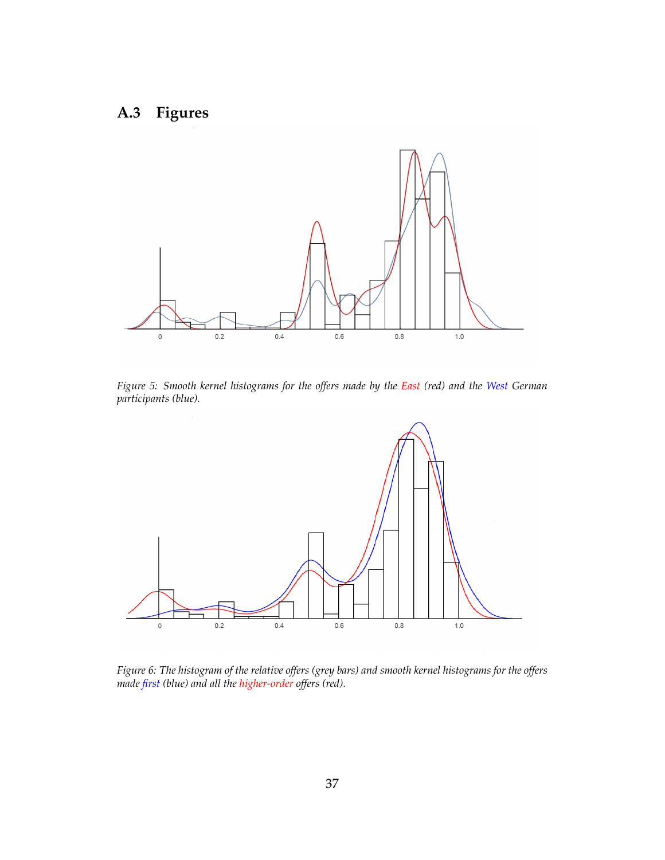# <span id="page-38-2"></span><span id="page-38-0"></span>**A.3 Figures**



*Figure 5: Smooth kernel histograms for the offers made by the East (red) and the West German participants (blue).*

<span id="page-38-1"></span>

*Figure 6: The histogram of the relative offers (grey bars) and smooth kernel histograms for the offers made first (blue) and all the higher-order offers (red).*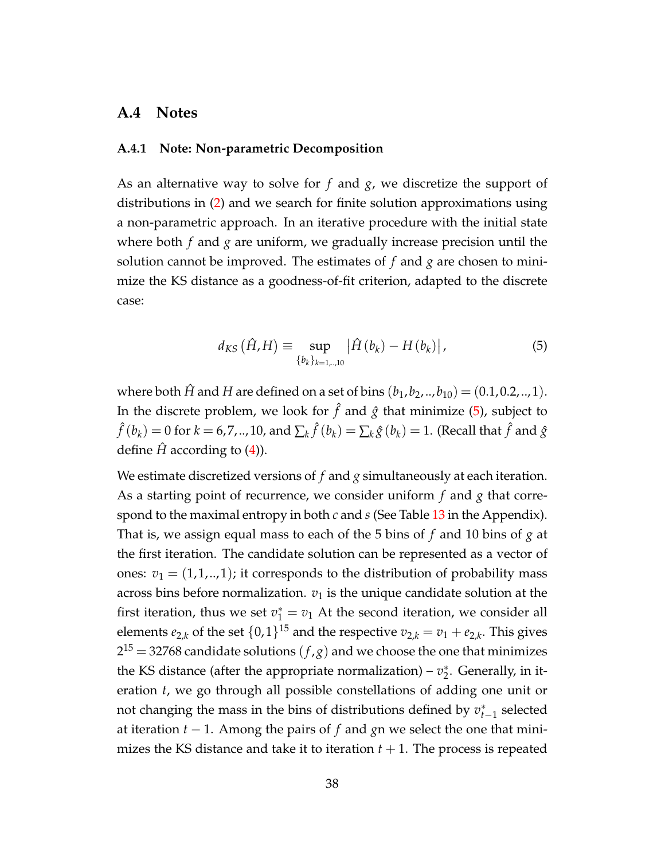#### **A.4 Notes**

#### <span id="page-39-0"></span>**A.4.1 Note: Non-parametric Decomposition**

As an alternative way to solve for *f* and *g*, we discretize the support of distributions in [\(2\)](#page-21-0) and we search for finite solution approximations using a non-parametric approach. In an iterative procedure with the initial state where both *f* and *g* are uniform, we gradually increase precision until the solution cannot be improved. The estimates of *f* and *g* are chosen to minimize the KS distance as a goodness-of-fit criterion, adapted to the discrete case:

<span id="page-39-1"></span>
$$
d_{KS}(\hat{H}, H) \equiv \sup_{\{b_k\}_{k=1,\dots,10}} |\hat{H}(b_k) - H(b_k)|,
$$
 (5)

where both  $\hat{H}$  and  $H$  are defined on a set of bins  $(b_1, b_2, ..., b_{10}) = (0.1, 0.2, ..., 1)$ . In the discrete problem, we look for  $\hat{f}$  and  $\hat{g}$  that minimize [\(5\)](#page-39-1), subject to  $\hat{f}(b_k) = 0$  for  $k = 6, 7, ...$ , 10, and  $\sum_k \hat{f}(b_k) = \sum_k \hat{g}(b_k) = 1$ . (Recall that  $\hat{f}$  and  $\hat{g}$ define  $\hat{H}$  according to [\(4\)](#page-23-2)).

We estimate discretized versions of *f* and *g* simultaneously at each iteration. As a starting point of recurrence, we consider uniform *f* and *g* that correspond to the maximal entropy in both *c* and *s* (See Table [13](#page-36-0) in the Appendix). That is, we assign equal mass to each of the 5 bins of *f* and 10 bins of *g* at the first iteration. The candidate solution can be represented as a vector of ones:  $v_1 = (1, 1, \ldots, 1)$ ; it corresponds to the distribution of probability mass across bins before normalization.  $v_1$  is the unique candidate solution at the first iteration, thus we set  $v_1^* = v_1$  At the second iteration, we consider all elements  $e_{2,k}$  of the set  $\{0,1\}^{15}$  and the respective  $v_{2,k} = v_1 + e_{2,k}.$  This gives  $2^{15}$   $=$  32768 candidate solutions  $(f, g)$  and we choose the one that minimizes the KS distance (after the appropriate normalization) –  $v_2^*$  $_2^*$ . Generally, in iteration *t*, we go through all possible constellations of adding one unit or not changing the mass in the bins of distributions defined by *v* ∗ *t*−1 selected at iteration *t* − 1. Among the pairs of *f* and *g*n we select the one that minimizes the KS distance and take it to iteration  $t + 1$ . The process is repeated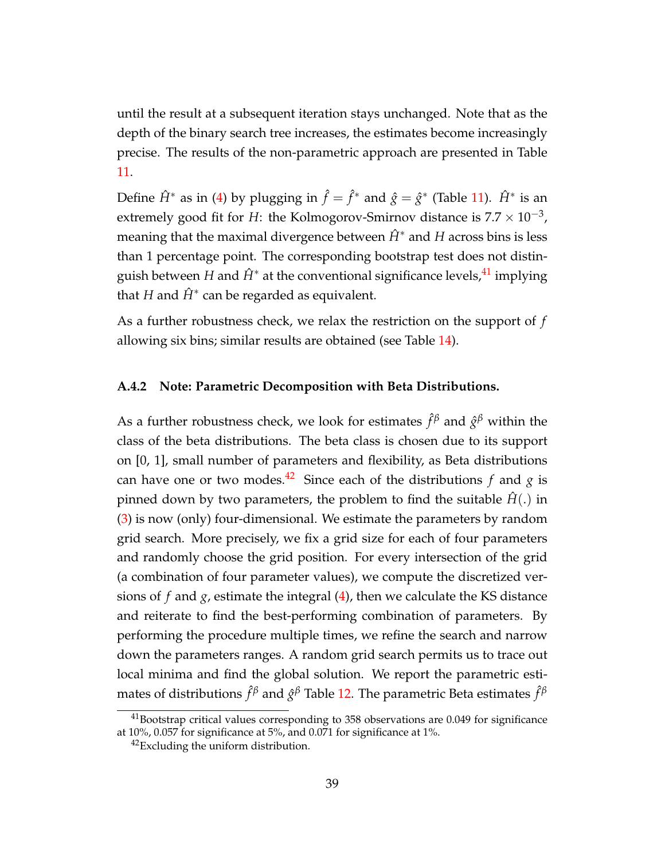until the result at a subsequent iteration stays unchanged. Note that as the depth of the binary search tree increases, the estimates become increasingly precise. The results of the non-parametric approach are presented in Table [11.](#page-35-1)

Define  $\hat{H}^*$  as in [\(4\)](#page-23-2) by plugging in  $\hat{f} = \hat{f}^*$  and  $\hat{g} = \hat{g}^*$  (Table [11\)](#page-35-1).  $\hat{H}^*$  is an extremely good fit for *H*: the Kolmogorov-Smirnov distance is  $7.7 \times 10^{-3}$ , meaning that the maximal divergence between  $\hat{H}$ <sup>∗</sup> and *H* across bins is less than 1 percentage point. The corresponding bootstrap test does not distinguish between *H* and  $\hat{H}^*$  at the conventional significance levels, <sup>[41](#page-40-1)</sup> implying that  $H$  and  $\hat{H}^*$  can be regarded as equivalent.

As a further robustness check, we relax the restriction on the support of *f* allowing six bins; similar results are obtained (see Table [14\)](#page-37-0).

#### <span id="page-40-0"></span>**A.4.2 Note: Parametric Decomposition with Beta Distributions.**

As a further robustness check, we look for estimates  $\hat{f}^{\beta}$  and  $\hat{g}^{\beta}$  within the class of the beta distributions. The beta class is chosen due to its support on [0, 1], small number of parameters and flexibility, as Beta distributions can have one or two modes.<sup>[42](#page-40-2)</sup> Since each of the distributions *f* and *g* is pinned down by two parameters, the problem to find the suitable  $\hat{H}$ .) in [\(3\)](#page-23-3) is now (only) four-dimensional. We estimate the parameters by random grid search. More precisely, we fix a grid size for each of four parameters and randomly choose the grid position. For every intersection of the grid (a combination of four parameter values), we compute the discretized versions of  $f$  and  $g$ , estimate the integral  $(4)$ , then we calculate the KS distance and reiterate to find the best-performing combination of parameters. By performing the procedure multiple times, we refine the search and narrow down the parameters ranges. A random grid search permits us to trace out local minima and find the global solution. We report the parametric estimates of distributions  $\hat{f}^{\beta}$  and  $\hat{g}^{\beta}$  Table [12.](#page-35-2) The parametric Beta estimates  $\hat{f}^{\beta}$ 

<span id="page-40-1"></span><sup>&</sup>lt;sup>41</sup>Bootstrap critical values corresponding to 358 observations are 0.049 for significance at 10%, 0.057 for significance at 5%, and 0.071 for significance at 1%.

<span id="page-40-2"></span><sup>&</sup>lt;sup>42</sup>Excluding the uniform distribution.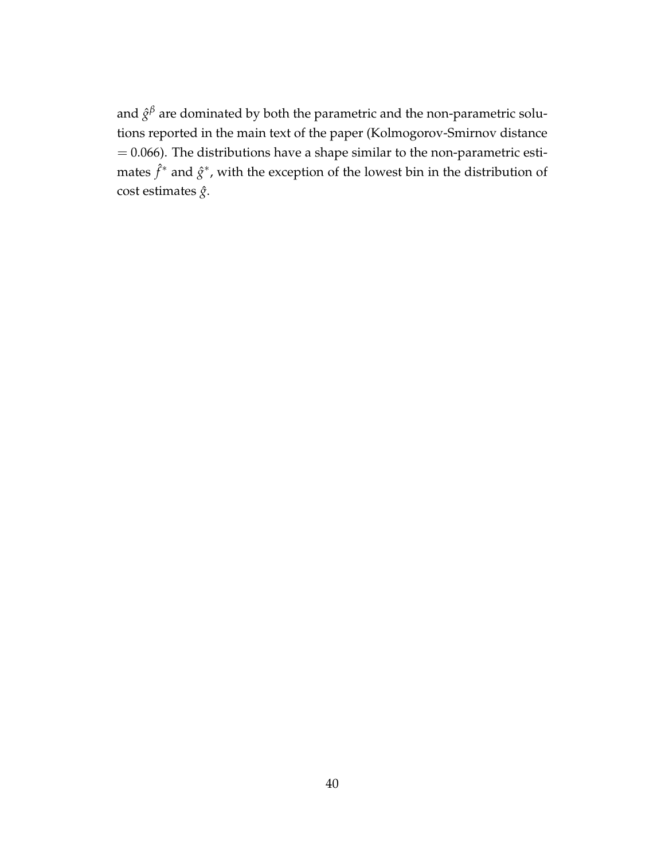and  $\hat{g}^\beta$  are dominated by both the parametric and the non-parametric solutions reported in the main text of the paper (Kolmogorov-Smirnov distance  $= 0.066$ ). The distributions have a shape similar to the non-parametric estimates  $\hat{f}^*$  and  $\hat{g}^*$ , with the exception of the lowest bin in the distribution of cost estimates *g*ˆ.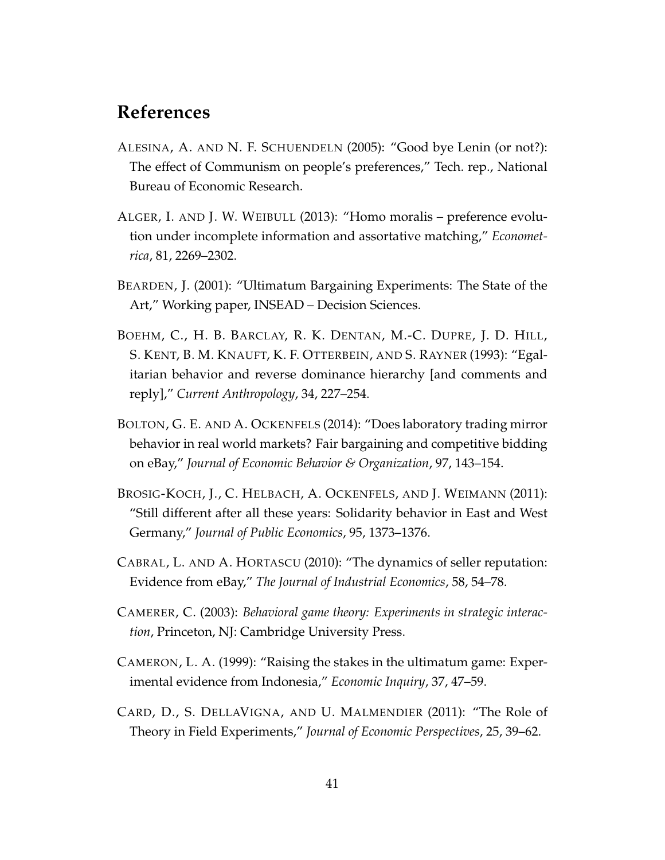### **References**

- <span id="page-42-7"></span>ALESINA, A. AND N. F. SCHUENDELN (2005): "Good bye Lenin (or not?): The effect of Communism on people's preferences," Tech. rep., National Bureau of Economic Research.
- <span id="page-42-5"></span>ALGER, I. AND J. W. WEIBULL (2013): "Homo moralis – preference evolution under incomplete information and assortative matching," *Econometrica*, 81, 2269–2302.
- <span id="page-42-2"></span>BEARDEN, J. (2001): "Ultimatum Bargaining Experiments: The State of the Art," Working paper, INSEAD – Decision Sciences.
- <span id="page-42-0"></span>BOEHM, C., H. B. BARCLAY, R. K. DENTAN, M.-C. DUPRE, J. D. HILL, S. KENT, B. M. KNAUFT, K. F. OTTERBEIN, AND S. RAYNER (1993): "Egalitarian behavior and reverse dominance hierarchy [and comments and reply]," *Current Anthropology*, 34, 227–254.
- <span id="page-42-4"></span>BOLTON, G. E. AND A. OCKENFELS (2014): "Does laboratory trading mirror behavior in real world markets? Fair bargaining and competitive bidding on eBay," *Journal of Economic Behavior & Organization*, 97, 143–154.
- <span id="page-42-8"></span>BROSIG-KOCH, J., C. HELBACH, A. OCKENFELS, AND J. WEIMANN (2011): "Still different after all these years: Solidarity behavior in East and West Germany," *Journal of Public Economics*, 95, 1373–1376.
- <span id="page-42-3"></span>CABRAL, L. AND A. HORTASCU (2010): "The dynamics of seller reputation: Evidence from eBay," *The Journal of Industrial Economics*, 58, 54–78.
- <span id="page-42-1"></span>CAMERER, C. (2003): *Behavioral game theory: Experiments in strategic interaction*, Princeton, NJ: Cambridge University Press.
- <span id="page-42-6"></span>CAMERON, L. A. (1999): "Raising the stakes in the ultimatum game: Experimental evidence from Indonesia," *Economic Inquiry*, 37, 47–59.
- <span id="page-42-9"></span>CARD, D., S. DELLAVIGNA, AND U. MALMENDIER (2011): "The Role of Theory in Field Experiments," *Journal of Economic Perspectives*, 25, 39–62.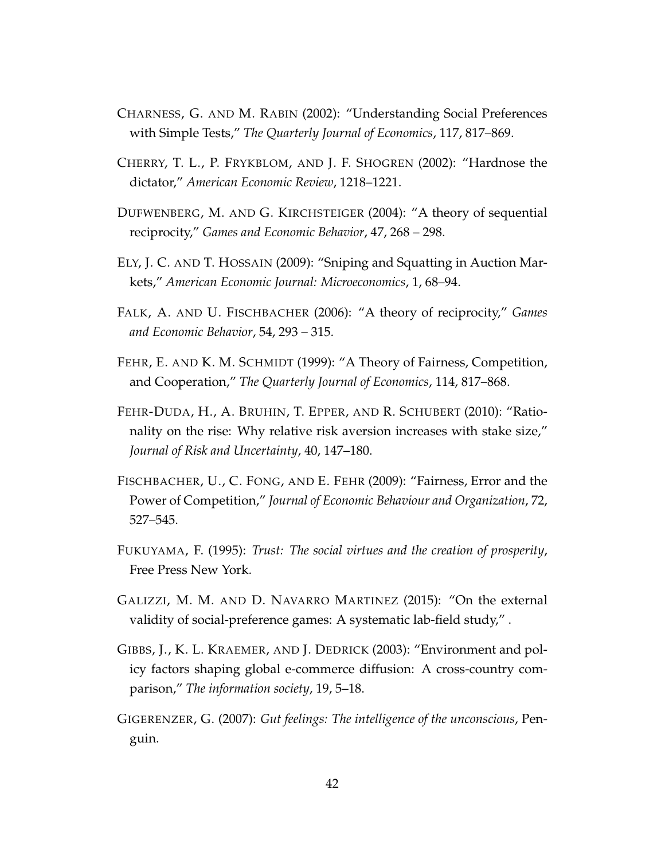- <span id="page-43-4"></span>CHARNESS, G. AND M. RABIN (2002): "Understanding Social Preferences with Simple Tests," *The Quarterly Journal of Economics*, 117, 817–869.
- <span id="page-43-0"></span>CHERRY, T. L., P. FRYKBLOM, AND J. F. SHOGREN (2002): "Hardnose the dictator," *American Economic Review*, 1218–1221.
- <span id="page-43-3"></span>DUFWENBERG, M. AND G. KIRCHSTEIGER (2004): "A theory of sequential reciprocity," *Games and Economic Behavior*, 47, 268 – 298.
- <span id="page-43-5"></span>ELY, J. C. AND T. HOSSAIN (2009): "Sniping and Squatting in Auction Markets," *American Economic Journal: Microeconomics*, 1, 68–94.
- <span id="page-43-2"></span>FALK, A. AND U. FISCHBACHER (2006): "A theory of reciprocity," *Games and Economic Behavior*, 54, 293 – 315.
- <span id="page-43-1"></span>FEHR, E. AND K. M. SCHMIDT (1999): "A Theory of Fairness, Competition, and Cooperation," *The Quarterly Journal of Economics*, 114, 817–868.
- <span id="page-43-10"></span>FEHR-DUDA, H., A. BRUHIN, T. EPPER, AND R. SCHUBERT (2010): "Rationality on the rise: Why relative risk aversion increases with stake size," *Journal of Risk and Uncertainty*, 40, 147–180.
- <span id="page-43-9"></span>FISCHBACHER, U., C. FONG, AND E. FEHR (2009): "Fairness, Error and the Power of Competition," *Journal of Economic Behaviour and Organization*, 72, 527–545.
- <span id="page-43-6"></span>FUKUYAMA, F. (1995): *Trust: The social virtues and the creation of prosperity*, Free Press New York.
- <span id="page-43-11"></span>GALIZZI, M. M. AND D. NAVARRO MARTINEZ (2015): "On the external validity of social-preference games: A systematic lab-field study," .
- <span id="page-43-7"></span>GIBBS, J., K. L. KRAEMER, AND J. DEDRICK (2003): "Environment and policy factors shaping global e-commerce diffusion: A cross-country comparison," *The information society*, 19, 5–18.
- <span id="page-43-8"></span>GIGERENZER, G. (2007): *Gut feelings: The intelligence of the unconscious*, Penguin.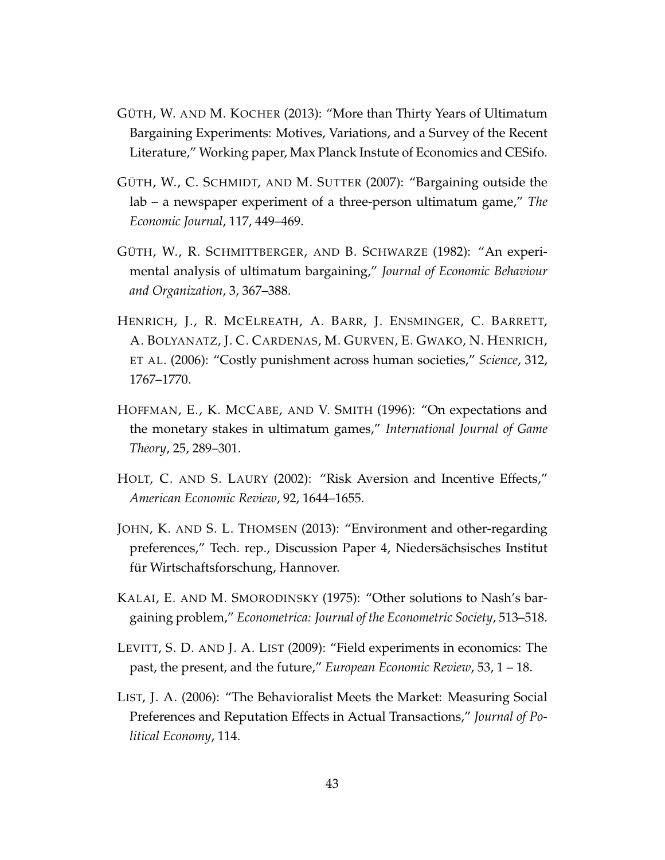- <span id="page-44-1"></span>GÜTH, W. AND M. KOCHER (2013): "More than Thirty Years of Ultimatum Bargaining Experiments: Motives, Variations, and a Survey of the Recent Literature," Working paper, Max Planck Instute of Economics and CESifo.
- <span id="page-44-9"></span>GÜTH, W., C. SCHMIDT, AND M. SUTTER (2007): "Bargaining outside the lab – a newspaper experiment of a three-person ultimatum game," *The Economic Journal*, 117, 449–469.
- <span id="page-44-7"></span>GÜTH, W., R. SCHMITTBERGER, AND B. SCHWARZE (1982): "An experimental analysis of ultimatum bargaining," *Journal of Economic Behaviour and Organization*, 3, 367–388.
- <span id="page-44-0"></span>HENRICH, J., R. MCELREATH, A. BARR, J. ENSMINGER, C. BARRETT, A. BOLYANATZ, J. C. CARDENAS, M. GURVEN, E. GWAKO, N. HENRICH, ET AL. (2006): "Costly punishment across human societies," *Science*, 312, 1767–1770.
- <span id="page-44-3"></span>HOFFMAN, E., K. MCCABE, AND V. SMITH (1996): "On expectations and the monetary stakes in ultimatum games," *International Journal of Game Theory*, 25, 289–301.
- <span id="page-44-6"></span>HOLT, C. AND S. LAURY (2002): "Risk Aversion and Incentive Effects," *American Economic Review*, 92, 1644–1655.
- <span id="page-44-4"></span>JOHN, K. AND S. L. THOMSEN (2013): "Environment and other-regarding preferences," Tech. rep., Discussion Paper 4, Niedersächsisches Institut für Wirtschaftsforschung, Hannover.
- <span id="page-44-5"></span>KALAI, E. AND M. SMORODINSKY (1975): "Other solutions to Nash's bargaining problem," *Econometrica: Journal of the Econometric Society*, 513–518.
- <span id="page-44-8"></span>LEVITT, S. D. AND J. A. LIST (2009): "Field experiments in economics: The past, the present, and the future," *European Economic Review*, 53, 1 – 18.
- <span id="page-44-2"></span>LIST, J. A. (2006): "The Behavioralist Meets the Market: Measuring Social Preferences and Reputation Effects in Actual Transactions," *Journal of Political Economy*, 114.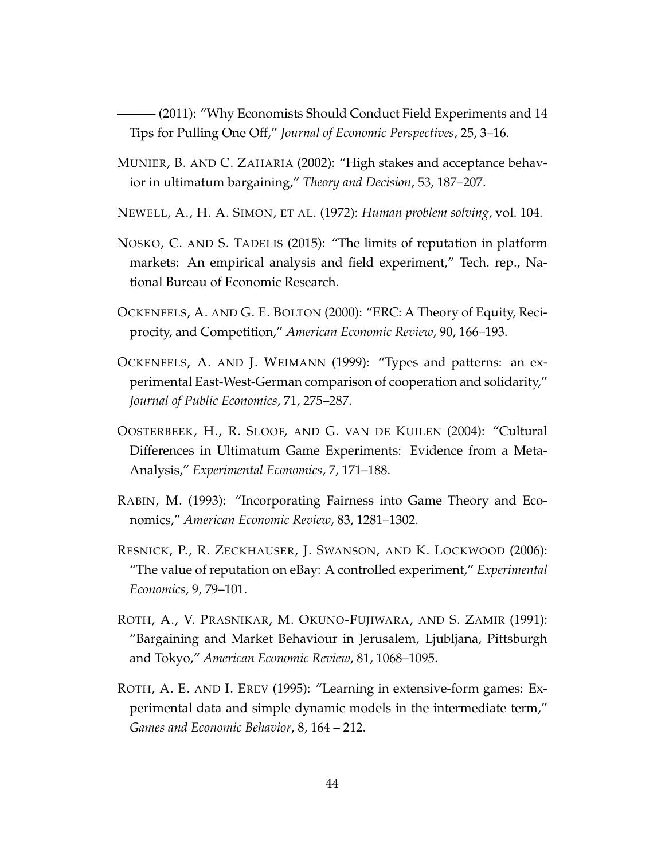<span id="page-45-10"></span>——— (2011): "Why Economists Should Conduct Field Experiments and 14 Tips for Pulling One Off," *Journal of Economic Perspectives*, 25, 3–16.

- <span id="page-45-6"></span>MUNIER, B. AND C. ZAHARIA (2002): "High stakes and acceptance behavior in ultimatum bargaining," *Theory and Decision*, 53, 187–207.
- <span id="page-45-8"></span>NEWELL, A., H. A. SIMON, ET AL. (1972): *Human problem solving*, vol. 104.
- <span id="page-45-5"></span>NOSKO, C. AND S. TADELIS (2015): "The limits of reputation in platform markets: An empirical analysis and field experiment," Tech. rep., National Bureau of Economic Research.
- <span id="page-45-2"></span>OCKENFELS, A. AND G. E. BOLTON (2000): "ERC: A Theory of Equity, Reciprocity, and Competition," *American Economic Review*, 90, 166–193.
- <span id="page-45-9"></span>OCKENFELS, A. AND J. WEIMANN (1999): "Types and patterns: an experimental East-West-German comparison of cooperation and solidarity," *Journal of Public Economics*, 71, 275–287.
- <span id="page-45-0"></span>OOSTERBEEK, H., R. SLOOF, AND G. VAN DE KUILEN (2004): "Cultural Differences in Ultimatum Game Experiments: Evidence from a Meta-Analysis," *Experimental Economics*, 7, 171–188.
- <span id="page-45-3"></span>RABIN, M. (1993): "Incorporating Fairness into Game Theory and Economics," *American Economic Review*, 83, 1281–1302.
- <span id="page-45-4"></span>RESNICK, P., R. ZECKHAUSER, J. SWANSON, AND K. LOCKWOOD (2006): "The value of reputation on eBay: A controlled experiment," *Experimental Economics*, 9, 79–101.
- <span id="page-45-1"></span>ROTH, A., V. PRASNIKAR, M. OKUNO-FUJIWARA, AND S. ZAMIR (1991): "Bargaining and Market Behaviour in Jerusalem, Ljubljana, Pittsburgh and Tokyo," *American Economic Review*, 81, 1068–1095.
- <span id="page-45-7"></span>ROTH, A. E. AND I. EREV (1995): "Learning in extensive-form games: Experimental data and simple dynamic models in the intermediate term," *Games and Economic Behavior*, 8, 164 – 212.